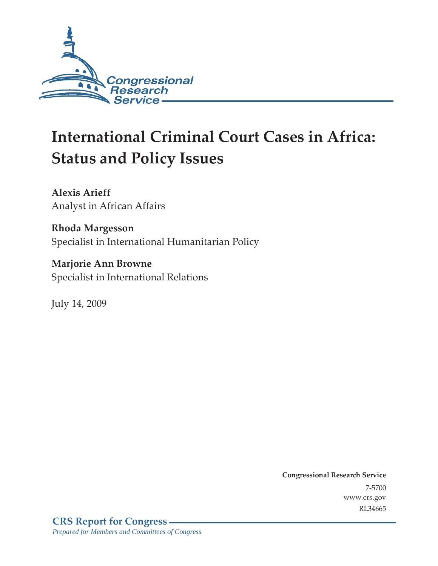

# **International Criminal Court Cases in Africa: Status and Policy Issues**

**Alexis Arieff**  Analyst in African Affairs

**Rhoda Margesson**  Specialist in International Humanitarian Policy

**Marjorie Ann Browne**  Specialist in International Relations

July 14, 2009

**Congressional Research Service** 7-5700 www.crs.gov RL34665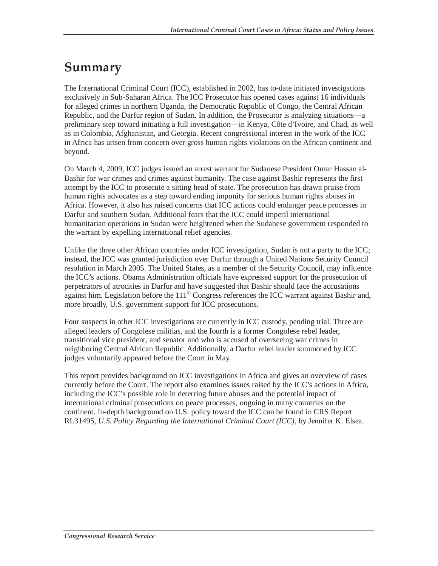## **Summary**

The International Criminal Court (ICC), established in 2002, has to-date initiated investigations exclusively in Sub-Saharan Africa. The ICC Prosecutor has opened cases against 16 individuals for alleged crimes in northern Uganda, the Democratic Republic of Congo, the Central African Republic, and the Darfur region of Sudan. In addition, the Prosecutor is analyzing situations—a preliminary step toward initiating a full investigation—in Kenya, Côte d'Ivoire, and Chad, as well as in Colombia, Afghanistan, and Georgia. Recent congressional interest in the work of the ICC in Africa has arisen from concern over gross human rights violations on the African continent and beyond.

On March 4, 2009, ICC judges issued an arrest warrant for Sudanese President Omar Hassan al-Bashir for war crimes and crimes against humanity. The case against Bashir represents the first attempt by the ICC to prosecute a sitting head of state. The prosecution has drawn praise from human rights advocates as a step toward ending impunity for serious human rights abuses in Africa. However, it also has raised concerns that ICC actions could endanger peace processes in Darfur and southern Sudan. Additional fears that the ICC could imperil international humanitarian operations in Sudan were heightened when the Sudanese government responded to the warrant by expelling international relief agencies.

Unlike the three other African countries under ICC investigation, Sudan is not a party to the ICC; instead, the ICC was granted jurisdiction over Darfur through a United Nations Security Council resolution in March 2005. The United States, as a member of the Security Council, may influence the ICC's actions. Obama Administration officials have expressed support for the prosecution of perpetrators of atrocities in Darfur and have suggested that Bashir should face the accusations against him. Legislation before the  $111<sup>th</sup>$  Congress references the ICC warrant against Bashir and, more broadly, U.S. government support for ICC prosecutions.

Four suspects in other ICC investigations are currently in ICC custody, pending trial. Three are alleged leaders of Congolese militias, and the fourth is a former Congolese rebel leader, transitional vice president, and senator and who is accused of overseeing war crimes in neighboring Central African Republic. Additionally, a Darfur rebel leader summoned by ICC judges voluntarily appeared before the Court in May.

This report provides background on ICC investigations in Africa and gives an overview of cases currently before the Court. The report also examines issues raised by the ICC's actions in Africa, including the ICC's possible role in deterring future abuses and the potential impact of international criminal prosecutions on peace processes, ongoing in many countries on the continent. In-depth background on U.S. policy toward the ICC can be found in CRS Report RL31495, *U.S. Policy Regarding the International Criminal Court (ICC)*, by Jennifer K. Elsea.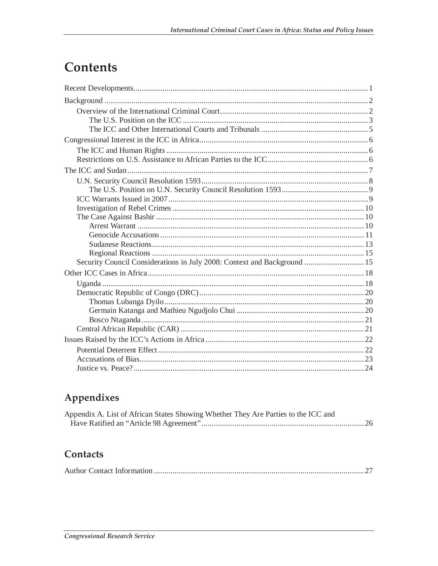## **Contents**

| Security Council Considerations in July 2008: Context and Background  15 |  |
|--------------------------------------------------------------------------|--|
|                                                                          |  |
|                                                                          |  |
|                                                                          |  |
|                                                                          |  |
|                                                                          |  |
|                                                                          |  |
|                                                                          |  |
|                                                                          |  |
|                                                                          |  |
|                                                                          |  |
|                                                                          |  |

## Appendixes

| Appendix A. List of African States Showing Whether They Are Parties to the ICC and |  |
|------------------------------------------------------------------------------------|--|
|                                                                                    |  |

## Contacts

|--|--|--|--|--|--|--|--|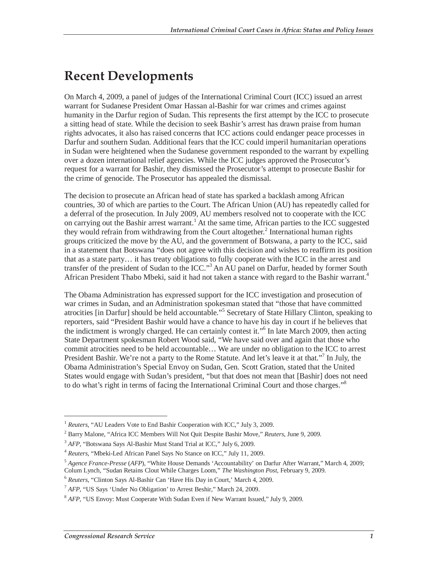## **Recent Developments**

On March 4, 2009, a panel of judges of the International Criminal Court (ICC) issued an arrest warrant for Sudanese President Omar Hassan al-Bashir for war crimes and crimes against humanity in the Darfur region of Sudan. This represents the first attempt by the ICC to prosecute a sitting head of state. While the decision to seek Bashir's arrest has drawn praise from human rights advocates, it also has raised concerns that ICC actions could endanger peace processes in Darfur and southern Sudan. Additional fears that the ICC could imperil humanitarian operations in Sudan were heightened when the Sudanese government responded to the warrant by expelling over a dozen international relief agencies. While the ICC judges approved the Prosecutor's request for a warrant for Bashir, they dismissed the Prosecutor's attempt to prosecute Bashir for the crime of genocide. The Prosecutor has appealed the dismissal.

The decision to prosecute an African head of state has sparked a backlash among African countries, 30 of which are parties to the Court. The African Union (AU) has repeatedly called for a deferral of the prosecution. In July 2009, AU members resolved not to cooperate with the ICC on carrying out the Bashir arrest warrant.<sup>1</sup> At the same time, African parties to the ICC suggested they would refrain from withdrawing from the Court altogether.<sup>2</sup> International human rights groups criticized the move by the AU, and the government of Botswana, a party to the ICC, said in a statement that Botswana "does not agree with this decision and wishes to reaffirm its position that as a state party… it has treaty obligations to fully cooperate with the ICC in the arrest and transfer of the president of Sudan to the ICC."<sup>3</sup> An AU panel on Darfur, headed by former South African President Thabo Mbeki, said it had not taken a stance with regard to the Bashir warrant.<sup>4</sup>

The Obama Administration has expressed support for the ICC investigation and prosecution of war crimes in Sudan, and an Administration spokesman stated that "those that have committed atrocities [in Darfur] should be held accountable."<sup>5</sup> Secretary of State Hillary Clinton, speaking to reporters, said "President Bashir would have a chance to have his day in court if he believes that the indictment is wrongly charged. He can certainly contest it."<sup>6</sup> In late March 2009, then acting State Department spokesman Robert Wood said, "We have said over and again that those who commit atrocities need to be held accountable… We are under no obligation to the ICC to arrest President Bashir. We're not a party to the Rome Statute. And let's leave it at that."<sup>7</sup> In July, the Obama Administration's Special Envoy on Sudan, Gen. Scott Gration, stated that the United States would engage with Sudan's president, "but that does not mean that [Bashir] does not need to do what's right in terms of facing the International Criminal Court and those charges."<sup>8</sup>

<sup>&</sup>lt;sup>1</sup> *Reuters*, "AU Leaders Vote to End Bashir Cooperation with ICC," July 3, 2009.

<sup>2</sup> Barry Malone, "Africa ICC Members Will Not Quit Despite Bashir Move," *Reuters*, June 9, 2009.

<sup>&</sup>lt;sup>3</sup> *AFP*, "Botswana Says Al-Bashir Must Stand Trial at ICC," July 6, 2009.<br><sup>4</sup> *Reuters*, "Mbeki-Led African Panel Says No Stance on ICC," July 11, 2009.

<sup>5</sup> *Agence France-Presse* (*AFP*), "White House Demands 'Accountability' on Darfur After Warrant," March 4, 2009; Colum Lynch, "Sudan Retains Clout While Charges Loom," *The Washington Post*, February 9, 2009.

<sup>6</sup> *Reuters*, "Clinton Says Al-Bashir Can 'Have His Day in Court,' March 4, 2009.

<sup>&</sup>lt;sup>7</sup> *AFP*, "US Says 'Under No Obligation' to Arrest Beshir," March 24, 2009.

<sup>8</sup> *AFP*, "US Envoy: Must Cooperate With Sudan Even if New Warrant Issued," July 9, 2009.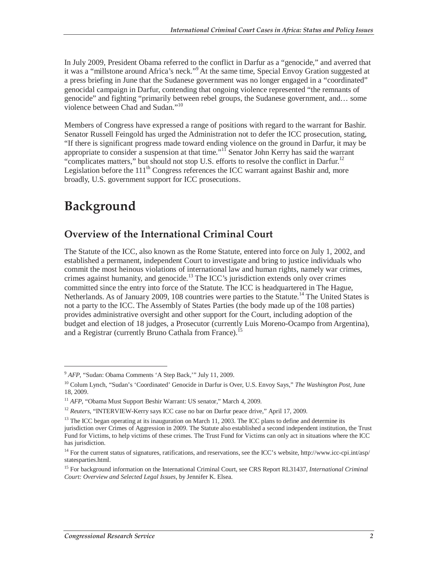In July 2009, President Obama referred to the conflict in Darfur as a "genocide," and averred that it was a "millstone around Africa's neck."<sup>9</sup> At the same time, Special Envoy Gration suggested at a press briefing in June that the Sudanese government was no longer engaged in a "coordinated" genocidal campaign in Darfur, contending that ongoing violence represented "the remnants of genocide" and fighting "primarily between rebel groups, the Sudanese government, and… some violence between Chad and Sudan."10

Members of Congress have expressed a range of positions with regard to the warrant for Bashir. Senator Russell Feingold has urged the Administration not to defer the ICC prosecution, stating, "If there is significant progress made toward ending violence on the ground in Darfur, it may be appropriate to consider a suspension at that time." $I^{\text{II}}$  Senator John Kerry has said the warrant "complicates matters," but should not stop U.S. efforts to resolve the conflict in Darfur.<sup>12</sup> Legislation before the  $111<sup>th</sup>$  Congress references the ICC warrant against Bashir and, more broadly, U.S. government support for ICC prosecutions.

## **Background**

-

### **Overview of the International Criminal Court**

The Statute of the ICC, also known as the Rome Statute, entered into force on July 1, 2002, and established a permanent, independent Court to investigate and bring to justice individuals who commit the most heinous violations of international law and human rights, namely war crimes, crimes against humanity, and genocide.<sup>13</sup> The ICC's jurisdiction extends only over crimes committed since the entry into force of the Statute. The ICC is headquartered in The Hague, Netherlands. As of January 2009, 108 countries were parties to the Statute.<sup>14</sup> The United States is not a party to the ICC. The Assembly of States Parties (the body made up of the 108 parties) provides administrative oversight and other support for the Court, including adoption of the budget and election of 18 judges, a Prosecutor (currently Luis Moreno-Ocampo from Argentina), and a Registrar (currently Bruno Cathala from France).<sup>15</sup>

<sup>9</sup> *AFP*, "Sudan: Obama Comments 'A Step Back,'" July 11, 2009.

<sup>10</sup> Colum Lynch, "Sudan's 'Coordinated' Genocide in Darfur is Over, U.S. Envoy Says," *The Washington Post*, June 18, 2009.

<sup>&</sup>lt;sup>11</sup> *AFP*, "Obama Must Support Beshir Warrant: US senator," March 4, 2009.

<sup>&</sup>lt;sup>12</sup> *Reuters*, "INTERVIEW-Kerry says ICC case no bar on Darfur peace drive," April 17, 2009.

<sup>&</sup>lt;sup>13</sup> The ICC began operating at its inauguration on March 11, 2003. The ICC plans to define and determine its jurisdiction over Crimes of Aggression in 2009. The Statute also established a second independent institution, the Trust Fund for Victims, to help victims of these crimes. The Trust Fund for Victims can only act in situations where the ICC has jurisdiction.

<sup>&</sup>lt;sup>14</sup> For the current status of signatures, ratifications, and reservations, see the ICC's website, http://www.icc-cpi.int/asp/ statesparties.html.

<sup>15</sup> For background information on the International Criminal Court, see CRS Report RL31437, *International Criminal Court: Overview and Selected Legal Issues*, by Jennifer K. Elsea.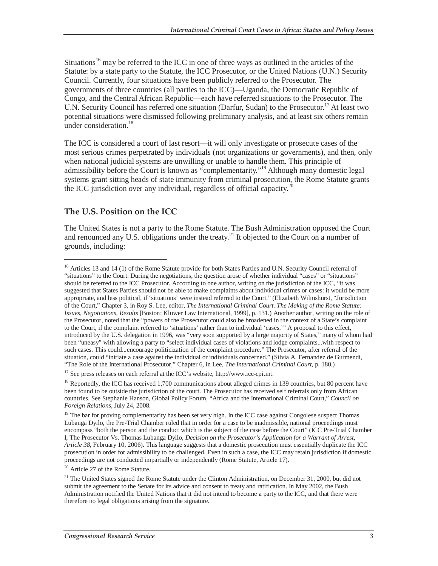Situations<sup>16</sup> may be referred to the ICC in one of three ways as outlined in the articles of the Statute: by a state party to the Statute, the ICC Prosecutor, or the United Nations (U.N.) Security Council. Currently, four situations have been publicly referred to the Prosecutor. The governments of three countries (all parties to the ICC)—Uganda, the Democratic Republic of Congo, and the Central African Republic—each have referred situations to the Prosecutor. The U.N. Security Council has referred one situation (Darfur, Sudan) to the Prosecutor.17 At least two potential situations were dismissed following preliminary analysis, and at least six others remain under consideration.<sup>18</sup>

The ICC is considered a court of last resort—it will only investigate or prosecute cases of the most serious crimes perpetrated by individuals (not organizations or governments), and then, only when national judicial systems are unwilling or unable to handle them. This principle of admissibility before the Court is known as "complementarity."19 Although many domestic legal systems grant sitting heads of state immunity from criminal prosecution, the Rome Statute grants the ICC jurisdiction over any individual, regardless of official capacity.<sup>20</sup>

#### **The U.S. Position on the ICC**

<u>.</u>

The United States is not a party to the Rome Statute. The Bush Administration opposed the Court and renounced any U.S. obligations under the treaty.<sup>21</sup> It objected to the Court on a number of grounds, including:

<sup>17</sup> See press releases on each referral at the ICC's website, http://www.icc-cpi.int.

<sup>20</sup> Article 27 of the Rome Statute.

<sup>&</sup>lt;sup>16</sup> Articles 13 and 14 (1) of the Rome Statute provide for both States Parties and U.N. Security Council referral of "situations" to the Court. During the negotiations, the question arose of whether individual "cases" or "situations" should be referred to the ICC Prosecutor. According to one author, writing on the jurisdiction of the ICC, "it was suggested that States Parties should not be able to make complaints about individual crimes or cases: it would be more appropriate, and less political, if 'situations' were instead referred to the Court." (Elizabeth Wilmshurst, "Jurisdiction of the Court," Chapter 3, in Roy S. Lee, editor, *The International Criminal Court. The Making of the Rome Statute: Issues, Negotiations, Results* [Boston: Kluwer Law International, 1999], p. 131.) Another author, writing on the role of the Prosecutor, noted that the "powers of the Prosecutor could also be broadened in the context of a State's complaint to the Court, if the complaint referred to 'situations' rather than to individual 'cases.'" A proposal to this effect, introduced by the U.S. delegation in 1996, was "very soon supported by a large majority of States," many of whom had been "uneasy" with allowing a party to "select individual cases of violations and lodge complaints...with respect to such cases. This could...encourage politicization of the complaint procedure." The Prosecutor, after referral of the situation, could "initiate a case against the individual or individuals concerned." (Silvia A. Fernandez de Gurmendi, "The Role of the International Prosecutor," Chapter 6, in Lee, *The International Criminal Court*, p. 18

<sup>&</sup>lt;sup>18</sup> Reportedly, the ICC has received 1,700 communications about alleged crimes in 139 countries, but 80 percent have been found to be outside the jurisdiction of the court. The Prosecutor has received self referrals only from African countries. See Stephanie Hanson, Global Policy Forum, "Africa and the International Criminal Court," *Council on Foreign Relations*, July 24, 2008.

<sup>&</sup>lt;sup>19</sup> The bar for proving complementarity has been set very high. In the ICC case against Congolese suspect Thomas Lubanga Dyilo, the Pre-Trial Chamber ruled that in order for a case to be inadmissible, national proceedings must encompass "both the person and the conduct which is the subject of the case before the Court" (ICC Pre-Trial Chamber I, The Prosecutor Vs. Thomas Lubanga Dyilo, *Decision on the Prosecutor's Application for a Warrant of Arrest, Article 38*, February 10, 2006). This language suggests that a domestic prosecution must essentially duplicate the ICC prosecution in order for admissibility to be challenged. Even in such a case, the ICC may retain jurisdiction if domestic proceedings are not conducted impartially or independently (Rome Statute, Article 17).

<sup>&</sup>lt;sup>21</sup> The United States signed the Rome Statute under the Clinton Administration, on December 31, 2000, but did not submit the agreement to the Senate for its advice and consent to treaty and ratification. In May 2002, the Bush Administration notified the United Nations that it did not intend to become a party to the ICC, and that there were therefore no legal obligations arising from the signature.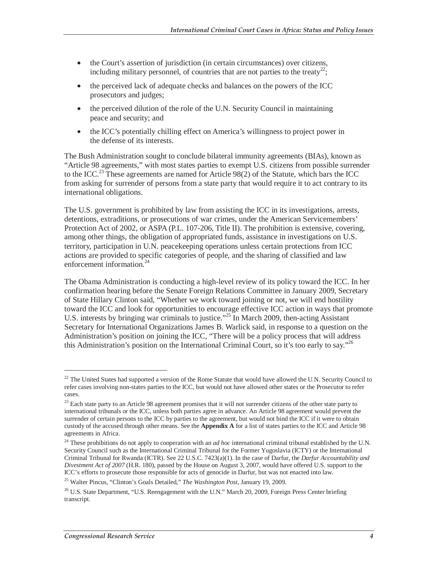- the Court's assertion of jurisdiction (in certain circumstances) over citizens, including military personnel, of countries that are not parties to the treaty<sup>22</sup>;
- the perceived lack of adequate checks and balances on the powers of the ICC prosecutors and judges;
- the perceived dilution of the role of the U.N. Security Council in maintaining peace and security; and
- the ICC's potentially chilling effect on America's willingness to project power in the defense of its interests.

The Bush Administration sought to conclude bilateral immunity agreements (BIAs), known as "Article 98 agreements," with most states parties to exempt U.S. citizens from possible surrender to the ICC.<sup>23</sup> These agreements are named for Article 98(2) of the Statute, which bars the ICC from asking for surrender of persons from a state party that would require it to act contrary to its international obligations.

The U.S. government is prohibited by law from assisting the ICC in its investigations, arrests, detentions, extraditions, or prosecutions of war crimes, under the American Servicemembers' Protection Act of 2002, or ASPA (P.L. 107-206, Title II). The prohibition is extensive, covering, among other things, the obligation of appropriated funds, assistance in investigations on U.S. territory, participation in U.N. peacekeeping operations unless certain protections from ICC actions are provided to specific categories of people, and the sharing of classified and law enforcement information.<sup>24</sup>

The Obama Administration is conducting a high-level review of its policy toward the ICC. In her confirmation hearing before the Senate Foreign Relations Committee in January 2009, Secretary of State Hillary Clinton said, "Whether we work toward joining or not, we will end hostility toward the ICC and look for opportunities to encourage effective ICC action in ways that promote U.S. interests by bringing war criminals to justice."<sup>25</sup> In March 2009, then-acting Assistant Secretary for International Organizations James B. Warlick said, in response to a question on the Administration's position on joining the ICC, "There will be a policy process that will address this Administration's position on the International Criminal Court, so it's too early to say."<sup>26</sup>

 $22$  The United States had supported a version of the Rome Statute that would have allowed the U.N. Security Council to refer cases involving non-states parties to the ICC, but would not have allowed other states or the Prosecutor to refer cases.

<sup>&</sup>lt;sup>23</sup> Each state party to an Article 98 agreement promises that it will not surrender citizens of the other state party to international tribunals or the ICC, unless both parties agree in advance. An Article 98 agreement would prevent the surrender of certain persons to the ICC by parties to the agreement, but would not bind the ICC if it were to obtain custody of the accused through other means. See the **Appendix A** for a list of states parties to the ICC and Article 98 agreements in Africa.

<sup>24</sup> These prohibitions do not apply to cooperation with an *ad hoc* international criminal tribunal established by the U.N. Security Council such as the International Criminal Tribunal for the Former Yugoslavia (ICTY) or the International Criminal Tribunal for Rwanda (ICTR). See 22 U.S.C. 7423(a)(1). In the case of Darfur, the *Darfur Accountability and Divestment Act of 2007* (H.R. 180), passed by the House on August 3, 2007, would have offered U.S. support to the ICC's efforts to prosecute those responsible for acts of genocide in Darfur, but was not enacted into law.

<sup>25</sup> Walter Pincus, "Clinton's Goals Detailed," *The Washington Post*, January 19, 2009.

<sup>&</sup>lt;sup>26</sup> U.S. State Department, "U.S. Reengagement with the U.N." March 20, 2009, Foreign Press Center briefing transcript.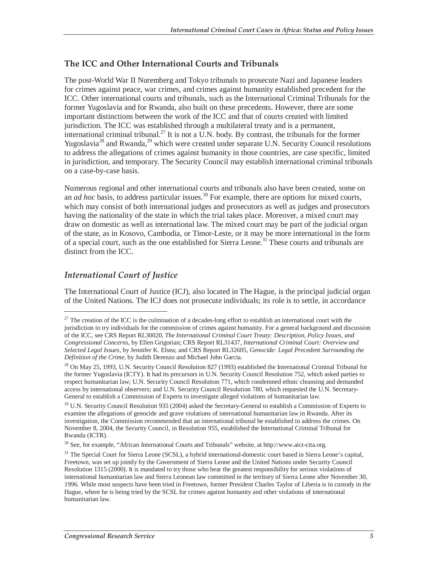#### **The ICC and Other International Courts and Tribunals**

The post-World War II Nuremberg and Tokyo tribunals to prosecute Nazi and Japanese leaders for crimes against peace, war crimes, and crimes against humanity established precedent for the ICC. Other international courts and tribunals, such as the International Criminal Tribunals for the former Yugoslavia and for Rwanda, also built on these precedents. However, there are some important distinctions between the work of the ICC and that of courts created with limited jurisdiction. The ICC was established through a multilateral treaty and is a permanent, international criminal tribunal.<sup>27</sup> It is not a U.N. body. By contrast, the tribunals for the former Yugoslavia<sup>28</sup> and Rwanda,<sup>29</sup> which were created under separate U.N. Security Council resolutions to address the allegations of crimes against humanity in those countries, are case specific, limited in jurisdiction, and temporary. The Security Council may establish international criminal tribunals on a case-by-case basis.

Numerous regional and other international courts and tribunals also have been created, some on an *ad hoc* basis, to address particular issues.<sup>30</sup> For example, there are options for mixed courts, which may consist of both international judges and prosecutors as well as judges and prosecutors having the nationality of the state in which the trial takes place. Moreover, a mixed court may draw on domestic as well as international law. The mixed court may be part of the judicial organ of the state, as in Kosovo, Cambodia, or Timor-Leste, or it may be more international in the form of a special court, such as the one established for Sierra Leone.<sup>31</sup> These courts and tribunals are distinct from the ICC.

#### *International Court of Justice*

<u>.</u>

The International Court of Justice (ICJ), also located in The Hague, is the principal judicial organ of the United Nations. The ICJ does not prosecute individuals; its role is to settle, in accordance

 $27$  The creation of the ICC is the culmination of a decades-long effort to establish an international court with the jurisdiction to try individuals for the commission of crimes against humanity. For a general background and discussion of the ICC, see CRS Report RL30020, *The International Criminal Court Treaty: Description, Policy Issues, and Congressional Concerns*, by Ellen Grigorian; CRS Report RL31437, *International Criminal Court: Overview and Selected Legal Issues*, by Jennifer K. Elsea; and CRS Report RL32605, *Genocide: Legal Precedent Surrounding the Definition of the Crime*, by Judith Derenzo and Michael John Garcia.

<sup>&</sup>lt;sup>28</sup> On May 25, 1993, U.N. Security Council Resolution 827 (1993) established the International Criminal Tribunal for the former Yugoslavia (ICTY). It had its precursors in U.N. Security Council Resolution 752, which asked parties to respect humanitarian law; U.N. Security Council Resolution 771, which condemned ethnic cleansing and demanded access by international observers; and U.N. Security Council Resolution 780, which requested the U.N. Secretary-General to establish a Commission of Experts to investigate alleged violations of humanitarian law.

<sup>&</sup>lt;sup>29</sup> U.N. Security Council Resolution 935 (2004) asked the Secretary-General to establish a Commission of Experts to examine the allegations of genocide and grave violations of international humanitarian law in Rwanda. After its investigation, the Commission recommended that an international tribunal be established to address the crimes. On November 8, 2004, the Security Council, in Resolution 955, established the International Criminal Tribunal for Rwanda (ICTR).

<sup>30</sup> See, for example, "African International Courts and Tribunals" website, at http://www.aict-cita.org.

<sup>&</sup>lt;sup>31</sup> The Special Court for Sierra Leone (SCSL), a hybrid international-domestic court based in Sierra Leone's capital, Freetown, was set up jointly by the Government of Sierra Leone and the United Nations under Security Council Resolution 1315 (2000). It is mandated to try those who bear the greatest responsibility for serious violations of international humanitarian law and Sierra Leonean law committed in the territory of Sierra Leone after November 30, 1996. While most suspects have been tried in Freetown, former President Charles Taylor of Liberia is in custody in the Hague, where he is being tried by the SCSL for crimes against humanity and other violations of international humanitarian law.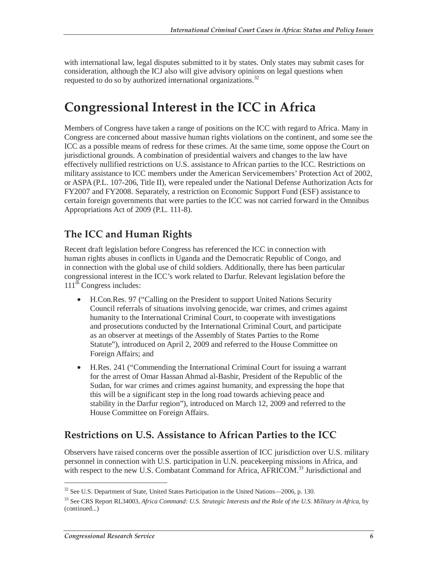with international law, legal disputes submitted to it by states. Only states may submit cases for consideration, although the ICJ also will give advisory opinions on legal questions when requested to do so by authorized international organizations.<sup>32</sup>

## **Congressional Interest in the ICC in Africa**

Members of Congress have taken a range of positions on the ICC with regard to Africa. Many in Congress are concerned about massive human rights violations on the continent, and some see the ICC as a possible means of redress for these crimes. At the same time, some oppose the Court on jurisdictional grounds. A combination of presidential waivers and changes to the law have effectively nullified restrictions on U.S. assistance to African parties to the ICC. Restrictions on military assistance to ICC members under the American Servicemembers' Protection Act of 2002, or ASPA (P.L. 107-206, Title II), were repealed under the National Defense Authorization Acts for FY2007 and FY2008. Separately, a restriction on Economic Support Fund (ESF) assistance to certain foreign governments that were parties to the ICC was not carried forward in the Omnibus Appropriations Act of 2009 (P.L. 111-8).

### **The ICC and Human Rights**

Recent draft legislation before Congress has referenced the ICC in connection with human rights abuses in conflicts in Uganda and the Democratic Republic of Congo, and in connection with the global use of child soldiers. Additionally, there has been particular congressional interest in the ICC's work related to Darfur. Relevant legislation before the 111<sup>th</sup> Congress includes:

- H.Con.Res. 97 ("Calling on the President to support United Nations Security Council referrals of situations involving genocide, war crimes, and crimes against humanity to the International Criminal Court, to cooperate with investigations and prosecutions conducted by the International Criminal Court, and participate as an observer at meetings of the Assembly of States Parties to the Rome Statute"), introduced on April 2, 2009 and referred to the House Committee on Foreign Affairs; and
- H.Res. 241 ("Commending the International Criminal Court for issuing a warrant for the arrest of Omar Hassan Ahmad al-Bashir, President of the Republic of the Sudan, for war crimes and crimes against humanity, and expressing the hope that this will be a significant step in the long road towards achieving peace and stability in the Darfur region"), introduced on March 12, 2009 and referred to the House Committee on Foreign Affairs.

### **Restrictions on U.S. Assistance to African Parties to the ICC**

Observers have raised concerns over the possible assertion of ICC jurisdiction over U.S. military personnel in connection with U.S. participation in U.N. peacekeeping missions in Africa, and with respect to the new U.S. Combatant Command for Africa, AFRICOM.<sup>33</sup> Jurisdictional and

<sup>&</sup>lt;sup>32</sup> See U.S. Department of State, United States Participation in the United Nations—2006, p. 130.

<sup>33</sup> See CRS Report RL34003, *Africa Command: U.S. Strategic Interests and the Role of the U.S. Military in Africa*, by (continued...)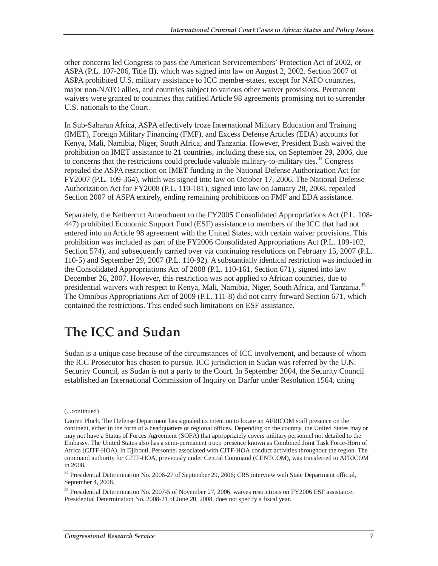other concerns led Congress to pass the American Servicemembers' Protection Act of 2002, or ASPA (P.L. 107-206, Title II), which was signed into law on August 2, 2002. Section 2007 of ASPA prohibited U.S. military assistance to ICC member-states, except for NATO countries, major non-NATO allies, and countries subject to various other waiver provisions. Permanent waivers were granted to countries that ratified Article 98 agreements promising not to surrender U.S. nationals to the Court.

In Sub-Saharan Africa, ASPA effectively froze International Military Education and Training (IMET), Foreign Military Financing (FMF), and Excess Defense Articles (EDA) accounts for Kenya, Mali, Namibia, Niger, South Africa, and Tanzania. However, President Bush waived the prohibition on IMET assistance to 21 countries, including these six, on September 29, 2006, due to concerns that the restrictions could preclude valuable military-to-military ties.<sup>34</sup> Congress repealed the ASPA restriction on IMET funding in the National Defense Authorization Act for FY2007 (P.L. 109-364), which was signed into law on October 17, 2006. The National Defense Authorization Act for FY2008 (P.L. 110-181), signed into law on January 28, 2008, repealed Section 2007 of ASPA entirely, ending remaining prohibitions on FMF and EDA assistance.

Separately, the Nethercutt Amendment to the FY2005 Consolidated Appropriations Act (P.L. 108- 447) prohibited Economic Support Fund (ESF) assistance to members of the ICC that had not entered into an Article 98 agreement with the United States, with certain waiver provisions. This prohibition was included as part of the FY2006 Consolidated Appropriations Act (P.L. 109-102, Section 574), and subsequently carried over via continuing resolutions on February 15, 2007 (P.L. 110-5) and September 29, 2007 (P.L. 110-92). A substantially identical restriction was included in the Consolidated Appropriations Act of 2008 (P.L. 110-161, Section 671), signed into law December 26, 2007. However, this restriction was not applied to African countries, due to presidential waivers with respect to Kenya, Mali, Namibia, Niger, South Africa, and Tanzania.<sup>35</sup> The Omnibus Appropriations Act of 2009 (P.L. 111-8) did not carry forward Section 671, which contained the restrictions. This ended such limitations on ESF assistance.

## **The ICC and Sudan**

Sudan is a unique case because of the circumstances of ICC involvement, and because of whom the ICC Prosecutor has chosen to pursue. ICC jurisdiction in Sudan was referred by the U.N. Security Council, as Sudan is not a party to the Court. In September 2004, the Security Council established an International Commission of Inquiry on Darfur under Resolution 1564, citing

<u>.</u>

<sup>(...</sup>continued)

Lauren Ploch. The Defense Department has signaled its intention to locate an AFRICOM staff presence on the continent, either in the form of a headquarters or regional offices. Depending on the country, the United States may or may not have a Status of Forces Agreement (SOFA) that appropriately covers military personnel not detailed to the Embassy. The United States also has a semi-permanent troop presence known as Combined Joint Task Force-Horn of Africa (CJTF-HOA), in Djibouti. Personnel associated with CJTF-HOA conduct activities throughout the region. The command authority for CJTF-HOA, previously under Central Command (CENTCOM), was transferred to AFRICOM in 2008.

<sup>&</sup>lt;sup>34</sup> Presidential Determination No. 2006-27 of September 29, 2006; CRS interview with State Department official, September 4, 2008.

<sup>&</sup>lt;sup>35</sup> Presidential Determination No. 2007-5 of November 27, 2006, waives restrictions on FY2006 ESF assistance; Presidential Determination No. 2008-21 of June 20, 2008, does not specify a fiscal year.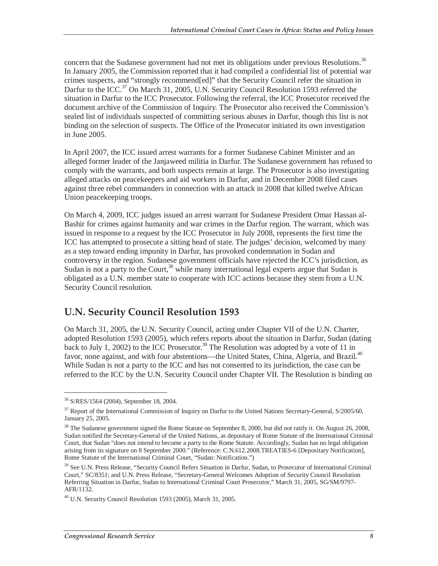concern that the Sudanese government had not met its obligations under previous Resolutions.<sup>36</sup> In January 2005, the Commission reported that it had compiled a confidential list of potential war crimes suspects, and "strongly recommend[ed]" that the Security Council refer the situation in Darfur to the ICC.<sup>37</sup> On March 31, 2005, U.N. Security Council Resolution 1593 referred the situation in Darfur to the ICC Prosecutor. Following the referral, the ICC Prosecutor received the document archive of the Commission of Inquiry. The Prosecutor also received the Commission's sealed list of individuals suspected of committing serious abuses in Darfur, though this list is not binding on the selection of suspects. The Office of the Prosecutor initiated its own investigation in June 2005.

In April 2007, the ICC issued arrest warrants for a former Sudanese Cabinet Minister and an alleged former leader of the Janjaweed militia in Darfur. The Sudanese government has refused to comply with the warrants, and both suspects remain at large. The Prosecutor is also investigating alleged attacks on peacekeepers and aid workers in Darfur, and in December 2008 filed cases against three rebel commanders in connection with an attack in 2008 that killed twelve African Union peacekeeping troops.

On March 4, 2009, ICC judges issued an arrest warrant for Sudanese President Omar Hassan al-Bashir for crimes against humanity and war crimes in the Darfur region. The warrant, which was issued in response to a request by the ICC Prosecutor in July 2008, represents the first time the ICC has attempted to prosecute a sitting head of state. The judges' decision, welcomed by many as a step toward ending impunity in Darfur, has provoked condemnation in Sudan and controversy in the region. Sudanese government officials have rejected the ICC's jurisdiction, as Sudan is not a party to the Court,  $38$  while many international legal experts argue that Sudan is obligated as a U.N. member state to cooperate with ICC actions because they stem from a U.N. Security Council resolution.

### **U.N. Security Council Resolution 1593**

On March 31, 2005, the U.N. Security Council, acting under Chapter VII of the U.N. Charter, adopted Resolution 1593 (2005), which refers reports about the situation in Darfur, Sudan (dating back to July 1, 2002) to the ICC Prosecutor.<sup>39</sup> The Resolution was adopted by a vote of 11 in favor, none against, and with four abstentions—the United States, China, Algeria, and Brazil.<sup>40</sup> While Sudan is not a party to the ICC and has not consented to its jurisdiction, the case can be referred to the ICC by the U.N. Security Council under Chapter VII. The Resolution is binding on

<u>.</u>

<sup>36</sup> S/RES/1564 (2004), September 18, 2004.

<sup>&</sup>lt;sup>37</sup> Report of the International Commission of Inquiry on Darfur to the United Nations Secretary-General, S/2005/60, January 25, 2005.

<sup>&</sup>lt;sup>38</sup> The Sudanese government signed the Rome Statute on September 8, 2000, but did not ratify it. On August 26, 2008, Sudan notified the Secretary-General of the United Nations, as depositary of Rome Statute of the International Criminal Court, that Sudan "does not intend to become a party to the Rome Statute. Accordingly, Sudan has no legal obligation arising from its signature on 8 September 2000." (Reference: C.N.612.2008.TREATIES-6 [Depositary Notification], Rome Statute of the International Criminal Court, "Sudan: Notification.")

<sup>&</sup>lt;sup>39</sup> See U.N. Press Release, "Security Council Refers Situation in Darfur, Sudan, to Prosecutor of International Criminal Court," SC/8351; and U.N. Press Release, "Secretary-General Welcomes Adoption of Security Council Resolution Referring Situation in Darfur, Sudan to International Criminal Court Prosecutor," March 31, 2005, SG/SM/9797- AFR/1132.

 $^{40}$  U.N. Security Council Resolution 1593 (2005), March 31, 2005.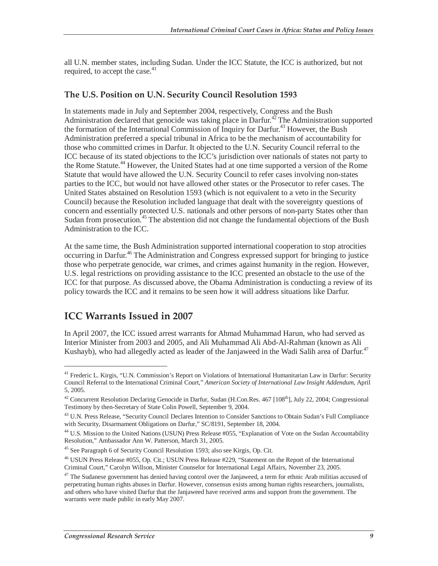all U.N. member states, including Sudan. Under the ICC Statute, the ICC is authorized, but not required, to accept the case. $41$ 

#### **The U.S. Position on U.N. Security Council Resolution 1593**

In statements made in July and September 2004, respectively, Congress and the Bush Administration declared that genocide was taking place in Darfur.<sup>42</sup> The Administration supported the formation of the International Commission of Inquiry for Darfur.<sup>43</sup> However, the Bush Administration preferred a special tribunal in Africa to be the mechanism of accountability for those who committed crimes in Darfur. It objected to the U.N. Security Council referral to the ICC because of its stated objections to the ICC's jurisdiction over nationals of states not party to the Rome Statute.<sup>44</sup> However, the United States had at one time supported a version of the Rome Statute that would have allowed the U.N. Security Council to refer cases involving non-states parties to the ICC, but would not have allowed other states or the Prosecutor to refer cases. The United States abstained on Resolution 1593 (which is not equivalent to a veto in the Security Council) because the Resolution included language that dealt with the sovereignty questions of concern and essentially protected U.S. nationals and other persons of non-party States other than Sudan from prosecution.<sup>45</sup> The abstention did not change the fundamental objections of the Bush Administration to the ICC.

At the same time, the Bush Administration supported international cooperation to stop atrocities occurring in Darfur.<sup>46</sup> The Administration and Congress expressed support for bringing to justice those who perpetrate genocide, war crimes, and crimes against humanity in the region. However, U.S. legal restrictions on providing assistance to the ICC presented an obstacle to the use of the ICC for that purpose. As discussed above, the Obama Administration is conducting a review of its policy towards the ICC and it remains to be seen how it will address situations like Darfur.

### **ICC Warrants Issued in 2007**

-

In April 2007, the ICC issued arrest warrants for Ahmad Muhammad Harun, who had served as Interior Minister from 2003 and 2005, and Ali Muhammad Ali Abd-Al-Rahman (known as Ali Kushayb), who had allegedly acted as leader of the Janjaweed in the Wadi Salih area of Darfur.<sup>47</sup>

<sup>&</sup>lt;sup>41</sup> Frederic L. Kirgis, "U.N. Commission's Report on Violations of International Humanitarian Law in Darfur: Security Council Referral to the International Criminal Court," *American Society of International Law Insight Addendum*, April 5, 2005.

<sup>&</sup>lt;sup>42</sup> Concurrent Resolution Declaring Genocide in Darfur, Sudan (H.Con.Res. 467 [108<sup>th</sup>], July 22, 2004; Congressional Testimony by then-Secretary of State Colin Powell, September 9, 2004.

<sup>&</sup>lt;sup>43</sup> U.N. Press Release, "Security Council Declares Intention to Consider Sanctions to Obtain Sudan's Full Compliance with Security, Disarmament Obligations on Darfur," SC/8191, September 18, 2004.

<sup>&</sup>lt;sup>44</sup> U.S. Mission to the United Nations (USUN) Press Release #055, "Explanation of Vote on the Sudan Accountability Resolution," Ambassador Ann W. Patterson, March 31, 2005.

<sup>&</sup>lt;sup>45</sup> See Paragraph 6 of Security Council Resolution 1593; also see Kirgis, Op. Cit.

<sup>46</sup> USUN Press Release #055, Op. Cit.; USUN Press Release #229, "Statement on the Report of the International Criminal Court," Carolyn Willson, Minister Counselor for International Legal Affairs, November 23, 2005.

 $47$  The Sudanese government has denied having control over the Janjaweed, a term for ethnic Arab militias accused of perpetrating human rights abuses in Darfur. However, consensus exists among human rights researchers, journalists, and others who have visited Darfur that the Janjaweed have received arms and support from the government. The warrants were made public in early May 2007.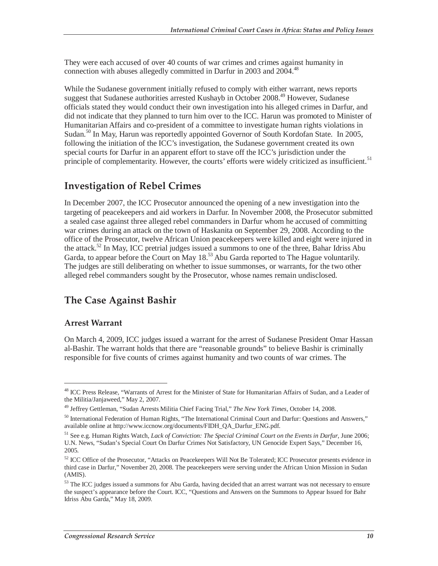They were each accused of over 40 counts of war crimes and crimes against humanity in connection with abuses allegedly committed in Darfur in 2003 and 2004.<sup>48</sup>

While the Sudanese government initially refused to comply with either warrant, news reports suggest that Sudanese authorities arrested Kushayb in October 2008.<sup>49</sup> However, Sudanese officials stated they would conduct their own investigation into his alleged crimes in Darfur, and did not indicate that they planned to turn him over to the ICC. Harun was promoted to Minister of Humanitarian Affairs and co-president of a committee to investigate human rights violations in Sudan.<sup>50</sup> In May, Harun was reportedly appointed Governor of South Kordofan State. In 2005, following the initiation of the ICC's investigation, the Sudanese government created its own special courts for Darfur in an apparent effort to stave off the ICC's jurisdiction under the principle of complementarity. However, the courts' efforts were widely criticized as insufficient.<sup>51</sup>

### **Investigation of Rebel Crimes**

In December 2007, the ICC Prosecutor announced the opening of a new investigation into the targeting of peacekeepers and aid workers in Darfur. In November 2008, the Prosecutor submitted a sealed case against three alleged rebel commanders in Darfur whom he accused of committing war crimes during an attack on the town of Haskanita on September 29, 2008. According to the office of the Prosecutor, twelve African Union peacekeepers were killed and eight were injured in the attack.<sup>52</sup> In May, ICC pretrial judges issued a summons to one of the three, Bahar Idriss Abu Garda, to appear before the Court on May 18.<sup>53</sup> Abu Garda reported to The Hague voluntarily. The judges are still deliberating on whether to issue summonses, or warrants, for the two other alleged rebel commanders sought by the Prosecutor, whose names remain undisclosed.

## **The Case Against Bashir**

#### **Arrest Warrant**

<u>.</u>

On March 4, 2009, ICC judges issued a warrant for the arrest of Sudanese President Omar Hassan al-Bashir. The warrant holds that there are "reasonable grounds" to believe Bashir is criminally responsible for five counts of crimes against humanity and two counts of war crimes. The

<sup>&</sup>lt;sup>48</sup> ICC Press Release, "Warrants of Arrest for the Minister of State for Humanitarian Affairs of Sudan, and a Leader of the Militia/Janjaweed," May 2, 2007.

<sup>49</sup> Jeffrey Gettleman, "Sudan Arrests Militia Chief Facing Trial," *The New York Times*, October 14, 2008.

<sup>&</sup>lt;sup>50</sup> International Federation of Human Rights, "The International Criminal Court and Darfur: Questions and Answers," available online at http://www.iccnow.org/documents/FIDH\_QA\_Darfur\_ENG.pdf.

<sup>51</sup> See e.g. Human Rights Watch, *Lack of Conviction: The Special Criminal Court on the Events in Darfur*, June 2006; U.N. News, "Sudan's Special Court On Darfur Crimes Not Satisfactory, UN Genocide Expert Says," December 16, 2005.

<sup>&</sup>lt;sup>52</sup> ICC Office of the Prosecutor, "Attacks on Peacekeepers Will Not Be Tolerated; ICC Prosecutor presents evidence in third case in Darfur," November 20, 2008. The peacekeepers were serving under the African Union Mission in Sudan (AMIS).

<sup>&</sup>lt;sup>53</sup> The ICC judges issued a summons for Abu Garda, having decided that an arrest warrant was not necessary to ensure the suspect's appearance before the Court. ICC, "Questions and Answers on the Summons to Appear Issued for Bahr Idriss Abu Garda," May 18, 2009.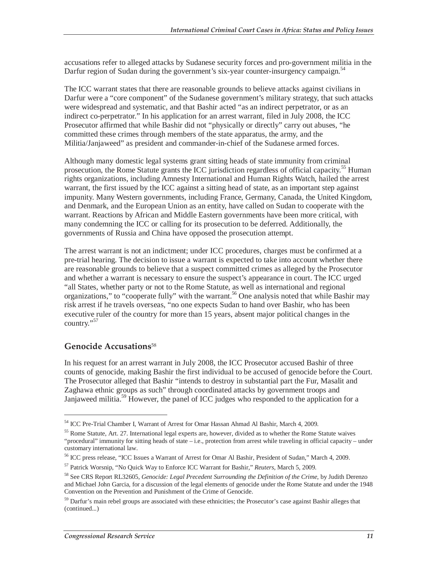accusations refer to alleged attacks by Sudanese security forces and pro-government militia in the Darfur region of Sudan during the government's six-year counter-insurgency campaign.<sup>54</sup>

The ICC warrant states that there are reasonable grounds to believe attacks against civilians in Darfur were a "core component" of the Sudanese government's military strategy, that such attacks were widespread and systematic, and that Bashir acted "as an indirect perpetrator, or as an indirect co-perpetrator." In his application for an arrest warrant, filed in July 2008, the ICC Prosecutor affirmed that while Bashir did not "physically or directly" carry out abuses, "he committed these crimes through members of the state apparatus, the army, and the Militia/Janjaweed" as president and commander-in-chief of the Sudanese armed forces.

Although many domestic legal systems grant sitting heads of state immunity from criminal prosecution, the Rome Statute grants the ICC jurisdiction regardless of official capacity.<sup>55</sup> Human rights organizations, including Amnesty International and Human Rights Watch, hailed the arrest warrant, the first issued by the ICC against a sitting head of state, as an important step against impunity. Many Western governments, including France, Germany, Canada, the United Kingdom, and Denmark, and the European Union as an entity, have called on Sudan to cooperate with the warrant. Reactions by African and Middle Eastern governments have been more critical, with many condemning the ICC or calling for its prosecution to be deferred. Additionally, the governments of Russia and China have opposed the prosecution attempt.

The arrest warrant is not an indictment; under ICC procedures, charges must be confirmed at a pre-trial hearing. The decision to issue a warrant is expected to take into account whether there are reasonable grounds to believe that a suspect committed crimes as alleged by the Prosecutor and whether a warrant is necessary to ensure the suspect's appearance in court. The ICC urged "all States, whether party or not to the Rome Statute, as well as international and regional organizations," to "cooperate fully" with the warrant.<sup>56</sup> One analysis noted that while Bashir may risk arrest if he travels overseas, "no one expects Sudan to hand over Bashir, who has been executive ruler of the country for more than 15 years, absent major political changes in the country."<sup>57</sup>

#### **Genocide Accusations**<sup>58</sup>

-

In his request for an arrest warrant in July 2008, the ICC Prosecutor accused Bashir of three counts of genocide, making Bashir the first individual to be accused of genocide before the Court. The Prosecutor alleged that Bashir "intends to destroy in substantial part the Fur, Masalit and Zaghawa ethnic groups as such" through coordinated attacks by government troops and Janjaweed militia.<sup>59</sup> However, the panel of ICC judges who responded to the application for a

<sup>54</sup> ICC Pre-Trial Chamber I, Warrant of Arrest for Omar Hassan Ahmad Al Bashir, March 4, 2009.

<sup>&</sup>lt;sup>55</sup> Rome Statute, Art. 27. International legal experts are, however, divided as to whether the Rome Statute waives "procedural" immunity for sitting heads of state – i.e., protection from arrest while traveling in official capacity – under customary international law.

<sup>56</sup> ICC press release, "ICC Issues a Warrant of Arrest for Omar Al Bashir, President of Sudan," March 4, 2009.

<sup>57</sup> Patrick Worsnip, "No Quick Way to Enforce ICC Warrant for Bashir," *Reuters*, March 5, 2009.

<sup>58</sup> See CRS Report RL32605, *Genocide: Legal Precedent Surrounding the Definition of the Crime*, by Judith Derenzo and Michael John Garcia, for a discussion of the legal elements of genocide under the Rome Statute and under the 1948 Convention on the Prevention and Punishment of the Crime of Genocide.

<sup>&</sup>lt;sup>59</sup> Darfur's main rebel groups are associated with these ethnicities; the Prosecutor's case against Bashir alleges that (continued...)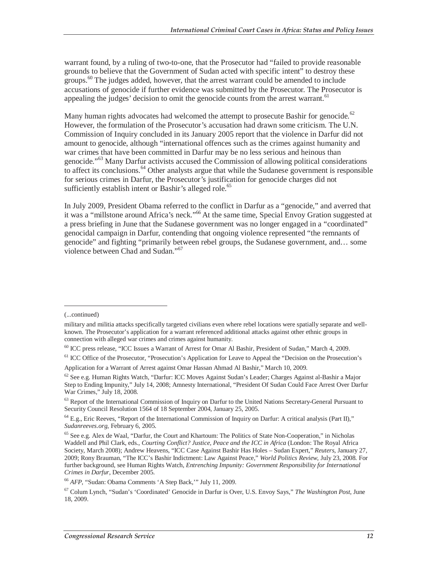warrant found, by a ruling of two-to-one, that the Prosecutor had "failed to provide reasonable grounds to believe that the Government of Sudan acted with specific intent" to destroy these groups.<sup>60</sup> The judges added, however, that the arrest warrant could be amended to include accusations of genocide if further evidence was submitted by the Prosecutor. The Prosecutor is appealing the judges' decision to omit the genocide counts from the arrest warrant.<sup>61</sup>

Many human rights advocates had welcomed the attempt to prosecute Bashir for genocide.<sup>62</sup> However, the formulation of the Prosecutor's accusation had drawn some criticism. The U.N. Commission of Inquiry concluded in its January 2005 report that the violence in Darfur did not amount to genocide, although "international offences such as the crimes against humanity and war crimes that have been committed in Darfur may be no less serious and heinous than genocide."<sup>63</sup> Many Darfur activists accused the Commission of allowing political considerations to affect its conclusions.<sup>64</sup> Other analysts argue that while the Sudanese government is responsible for serious crimes in Darfur, the Prosecutor's justification for genocide charges did not sufficiently establish intent or Bashir's alleged role.<sup>65</sup>

In July 2009, President Obama referred to the conflict in Darfur as a "genocide," and averred that it was a "millstone around Africa's neck."<sup>66</sup> At the same time, Special Envoy Gration suggested at a press briefing in June that the Sudanese government was no longer engaged in a "coordinated" genocidal campaign in Darfur, contending that ongoing violence represented "the remnants of genocide" and fighting "primarily between rebel groups, the Sudanese government, and… some violence between Chad and Sudan."<sup>67</sup>

<sup>(...</sup>continued)

military and militia attacks specifically targeted civilians even where rebel locations were spatially separate and wellknown. The Prosecutor's application for a warrant referenced additional attacks against other ethnic groups in connection with alleged war crimes and crimes against humanity.

<sup>60</sup> ICC press release, "ICC Issues a Warrant of Arrest for Omar Al Bashir, President of Sudan," March 4, 2009.

<sup>&</sup>lt;sup>61</sup> ICC Office of the Prosecutor, "Prosecution's Application for Leave to Appeal the "Decision on the Prosecution's

Application for a Warrant of Arrest against Omar Hassan Ahmad Al Bashir," March 10, 2009.

 $^{62}$  See e.g. Human Rights Watch, "Darfur: ICC Moves Against Sudan's Leader; Charges Against al-Bashir a Major Step to Ending Impunity," July 14, 2008; Amnesty International, "President Of Sudan Could Face Arrest Over Darfur War Crimes," July 18, 2008.

<sup>&</sup>lt;sup>63</sup> Report of the International Commission of Inquiry on Darfur to the United Nations Secretary-General Pursuant to Security Council Resolution 1564 of 18 September 2004, January 25, 2005.

 $^{64}$  E.g., Eric Reeves, "Report of the International Commission of Inquiry on Darfur: A critical analysis (Part II)," *Sudanreeves.org*, February 6, 2005.

<sup>65</sup> See e.g. Alex de Waal, "Darfur, the Court and Khartoum: The Politics of State Non-Cooperation," in Nicholas Waddell and Phil Clark, eds., *Courting Conflict? Justice, Peace and the ICC in Africa* (London: The Royal Africa Society, March 2008); Andrew Heavens, "ICC Case Against Bashir Has Holes – Sudan Expert," *Reuters*, January 27, 2009; Rony Brauman, "The ICC's Bashir Indictment: Law Against Peace," *World Politics Review*, July 23, 2008. For further background, see Human Rights Watch, *Entrenching Impunity: Government Responsibility for International Crimes in Darfur*, December 2005.

<sup>66</sup> *AFP*, "Sudan: Obama Comments 'A Step Back,'" July 11, 2009.

<sup>67</sup> Colum Lynch, "Sudan's 'Coordinated' Genocide in Darfur is Over, U.S. Envoy Says," *The Washington Post*, June 18, 2009.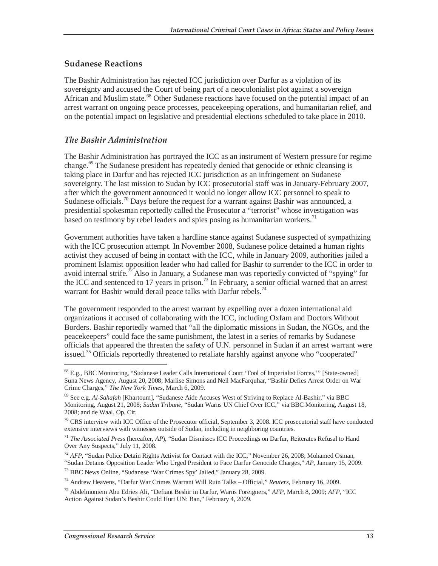#### **Sudanese Reactions**

The Bashir Administration has rejected ICC jurisdiction over Darfur as a violation of its sovereignty and accused the Court of being part of a neocolonialist plot against a sovereign African and Muslim state.<sup>68</sup> Other Sudanese reactions have focused on the potential impact of an arrest warrant on ongoing peace processes, peacekeeping operations, and humanitarian relief, and on the potential impact on legislative and presidential elections scheduled to take place in 2010.

#### *The Bashir Administration*

The Bashir Administration has portrayed the ICC as an instrument of Western pressure for regime change.<sup>69</sup> The Sudanese president has repeatedly denied that genocide or ethnic cleansing is taking place in Darfur and has rejected ICC jurisdiction as an infringement on Sudanese sovereignty. The last mission to Sudan by ICC prosecutorial staff was in January-February 2007, after which the government announced it would no longer allow ICC personnel to speak to Sudanese officials.<sup>70</sup> Days before the request for a warrant against Bashir was announced, a presidential spokesman reportedly called the Prosecutor a "terrorist" whose investigation was based on testimony by rebel leaders and spies posing as humanitarian workers.<sup>71</sup>

Government authorities have taken a hardline stance against Sudanese suspected of sympathizing with the ICC prosecution attempt. In November 2008, Sudanese police detained a human rights activist they accused of being in contact with the ICC, while in January 2009, authorities jailed a prominent Islamist opposition leader who had called for Bashir to surrender to the ICC in order to avoid internal strife.<sup>72</sup> Also in January, a Sudanese man was reportedly convicted of "spying" for the ICC and sentenced to 17 years in prison.<sup>73</sup> In February, a senior official warned that an arrest warrant for Bashir would derail peace talks with Darfur rebels.<sup>74</sup>

The government responded to the arrest warrant by expelling over a dozen international aid organizations it accused of collaborating with the ICC, including Oxfam and Doctors Without Borders. Bashir reportedly warned that "all the diplomatic missions in Sudan, the NGOs, and the peacekeepers" could face the same punishment, the latest in a series of remarks by Sudanese officials that appeared the threaten the safety of U.N. personnel in Sudan if an arrest warrant were issued.<sup>75</sup> Officials reportedly threatened to retaliate harshly against anyone who "cooperated"

<u>.</u>

<sup>68</sup> E.g., BBC Monitoring, "Sudanese Leader Calls International Court 'Tool of Imperialist Forces,'" [State-owned] Suna News Agency, August 20, 2008; Marlise Simons and Neil MacFarquhar, "Bashir Defies Arrest Order on War Crime Charges," *The New York Times*, March 6, 2009.

<sup>69</sup> See e.g. *Al-Sahafah* [Khartoum], "Sudanese Aide Accuses West of Striving to Replace Al-Bashir," via BBC Monitoring, August 21, 2008; *Sudan Tribune*, "Sudan Warns UN Chief Over ICC," via BBC Monitoring, August 18, 2008; and de Waal, Op. Cit.

 $70$  CRS interview with ICC Office of the Prosecutor official, September 3, 2008. ICC prosecutorial staff have conducted extensive interviews with witnesses outside of Sudan, including in neighboring countries.

<sup>71</sup> *The Associated Press* (hereafter, *AP*), "Sudan Dismisses ICC Proceedings on Darfur, Reiterates Refusal to Hand Over Any Suspects," July 11, 2008.

 $^{72}$  *AFP*, "Sudan Police Detain Rights Activist for Contact with the ICC," November 26, 2008; Mohamed Osman,

<sup>&</sup>quot;Sudan Detains Opposition Leader Who Urged President to Face Darfur Genocide Charges," *AP*, January 15, 2009. 73 BBC News Online, "Sudanese 'War Crimes Spy' Jailed," January 28, 2009.

<sup>74</sup> Andrew Heavens, "Darfur War Crimes Warrant Will Ruin Talks – Official," *Reuters*, February 16, 2009.

<sup>75</sup> Abdelmoniem Abu Edries Ali, "Defiant Beshir in Darfur, Warns Foreigners," *AFP*, March 8, 2009; *AFP*, "ICC Action Against Sudan's Beshir Could Hurt UN: Ban," February 4, 2009.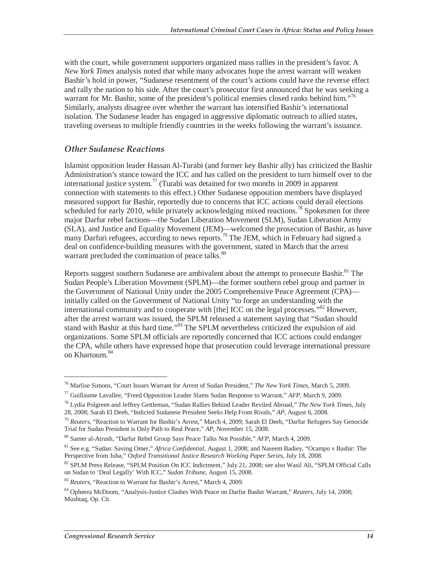with the court, while government supporters organized mass rallies in the president's favor. A *New York Times* analysis noted that while many advocates hope the arrest warrant will weaken Bashir's hold in power, "Sudanese resentment of the court's actions could have the reverse effect and rally the nation to his side. After the court's prosecutor first announced that he was seeking a warrant for Mr. Bashir, some of the president's political enemies closed ranks behind him."<sup>76</sup> Similarly, analysts disagree over whether the warrant has intensified Bashir's international isolation. The Sudanese leader has engaged in aggressive diplomatic outreach to allied states, traveling overseas to multiple friendly countries in the weeks following the warrant's issuance.

#### *Other Sudanese Reactions*

Islamist opposition leader Hassan Al-Turabi (and former key Bashir ally) has criticized the Bashir Administration's stance toward the ICC and has called on the president to turn himself over to the international justice system.<sup>77</sup> (Turabi was detained for two months in 2009 in apparent connection with statements to this effect.) Other Sudanese opposition members have displayed measured support for Bashir, reportedly due to concerns that ICC actions could derail elections scheduled for early 2010, while privately acknowledging mixed reactions.<sup>78</sup> Spokesmen for three major Darfur rebel factions—the Sudan Liberation Movement (SLM), Sudan Liberation Army (SLA), and Justice and Equality Movement (JEM)—welcomed the prosecution of Bashir, as have many Darfuri refugees, according to news reports.<sup>79</sup> The JEM, which in February had signed a deal on confidence-building measures with the government, stated in March that the arrest warrant precluded the continuation of peace talks.<sup>80</sup>

Reports suggest southern Sudanese are ambivalent about the attempt to prosecute Bashir.<sup>81</sup> The Sudan People's Liberation Movement (SPLM)—the former southern rebel group and partner in the Government of National Unity under the 2005 Comprehensive Peace Agreement (CPA) initially called on the Government of National Unity "to forge an understanding with the international community and to cooperate with [the] ICC on the legal processes."<sup>82</sup> However, after the arrest warrant was issued, the SPLM released a statement saying that "Sudan should stand with Bashir at this hard time."<sup>83</sup> The SPLM nevertheless criticized the expulsion of aid organizations. Some SPLM officials are reportedly concerned that ICC actions could endanger the CPA, while others have expressed hope that prosecution could leverage international pressure on Khartoum.<sup>84</sup>

<sup>76</sup> Marlise Simons, "Court Issues Warrant for Arrest of Sudan President," *The New York Times*, March 5, 2009.

<sup>77</sup> Guillaume Lavallee, "Freed Opposition Leader Slams Sudan Response to Warrant," *AFP*, March 9, 2009.

<sup>78</sup> Lydia Polgreen and Jeffrey Gettleman, "Sudan Rallies Behind Leader Reviled Abroad," *The New York Times*, July 28, 2008; Sarah El Deeb, "Indicted Sudanese President Seeks Help From Rivals," *AP*, August 6, 2008.

<sup>79</sup> *Reuters*, "Reaction to Warrant for Bashir's Arrest," March 4, 2009; Sarah El Deeb, "Darfur Refugees Say Genocide Trial for Sudan President is Only Path to Real Peace," *AP*, November 15, 2008.

<sup>80</sup> Samer al-Atrush, "Darfur Rebel Group Says Peace Talks Not Possible," *AFP*, March 4, 2009.

<sup>81</sup> See e.g. "Sudan: Saving Omer," *Africa Confidential*, August 1, 2008; and Naseem Badiey, "Ocampo v Bashir: The Perspective from Juba," *Oxford Transitional Justice Research Working Paper Series*, July 18, 2008.

<sup>&</sup>lt;sup>82</sup> SPLM Press Release, "SPLM Position On ICC Indictment," July 21, 2008; see also Wasil Ali, "SPLM Official Calls on Sudan to 'Deal Legally' With ICC," *Sudan Tribune*, August 15, 2008.

<sup>83</sup> *Reuters*, "Reaction to Warrant for Bashir's Arrest," March 4, 2009.

<sup>84</sup> Opheera McDoom, "Analysis-Justice Clashes With Peace on Darfur Bashir Warrant," *Reuters*, July 14, 2008; Mushtaq, Op. Cit.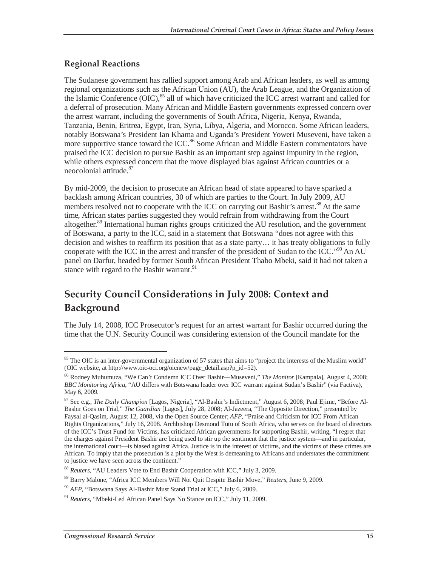#### **Regional Reactions**

The Sudanese government has rallied support among Arab and African leaders, as well as among regional organizations such as the African Union (AU), the Arab League, and the Organization of the Islamic Conference  $(OIC)$ ,  $85$  all of which have criticized the ICC arrest warrant and called for a deferral of prosecution. Many African and Middle Eastern governments expressed concern over the arrest warrant, including the governments of South Africa, Nigeria, Kenya, Rwanda, Tanzania, Benin, Eritrea, Egypt, Iran, Syria, Libya, Algeria, and Morocco. Some African leaders, notably Botswana's President Ian Khama and Uganda's President Yoweri Museveni, have taken a more supportive stance toward the ICC.<sup>86</sup> Some African and Middle Eastern commentators have praised the ICC decision to pursue Bashir as an important step against impunity in the region, while others expressed concern that the move displayed bias against African countries or a neocolonial attitude.<sup>87</sup>

By mid-2009, the decision to prosecute an African head of state appeared to have sparked a backlash among African countries, 30 of which are parties to the Court. In July 2009, AU members resolved not to cooperate with the ICC on carrying out Bashir's arrest.<sup>88</sup> At the same time, African states parties suggested they would refrain from withdrawing from the Court altogether.<sup>89</sup> International human rights groups criticized the AU resolution, and the government of Botswana, a party to the ICC, said in a statement that Botswana "does not agree with this decision and wishes to reaffirm its position that as a state party… it has treaty obligations to fully cooperate with the ICC in the arrest and transfer of the president of Sudan to the ICC."<sup>90</sup> An AU panel on Darfur, headed by former South African President Thabo Mbeki, said it had not taken a stance with regard to the Bashir warrant.<sup>91</sup>

## **Security Council Considerations in July 2008: Context and Background**

The July 14, 2008, ICC Prosecutor's request for an arrest warrant for Bashir occurred during the time that the U.N. Security Council was considering extension of the Council mandate for the

<sup>&</sup>lt;sup>85</sup> The OIC is an inter-governmental organization of 57 states that aims to "project the interests of the Muslim world" (OIC website, at http://www.oic-oci.org/oicnew/page\_detail.asp?p\_id=52).

<sup>86</sup> Rodney Muhumuza, "We Can't Condemn ICC Over Bashir—Museveni," *The Monitor* [Kampala], August 4, 2008; *BBC Monitoring Africa*, "AU differs with Botswana leader over ICC warrant against Sudan's Bashir" (via Factiva), May 6, 2009.

<sup>87</sup> See e.g., *The Daily Champion* [Lagos, Nigeria], "Al-Bashir's Indictment," August 6, 2008; Paul Ejime, "Before Al-Bashir Goes on Trial," *The Guardian* [Lagos], July 28, 2008; Al-Jazeera, "The Opposite Direction," presented by Faysal al-Qasim, August 12, 2008, via the Open Source Center; *AFP*, "Praise and Criticism for ICC From African Rights Organizations," July 16, 2008. Archbishop Desmond Tutu of South Africa, who serves on the board of directors of the ICC's Trust Fund for Victims, has criticized African governments for supporting Bashir, writing, "I regret that the charges against President Bashir are being used to stir up the sentiment that the justice system—and in particular, the international court—is biased against Africa. Justice is in the interest of victims, and the victims of these crimes are African. To imply that the prosecution is a plot by the West is demeaning to Africans and understates the commitment to justice we have seen across the continent."

<sup>88</sup> *Reuters*, "AU Leaders Vote to End Bashir Cooperation with ICC," July 3, 2009.

<sup>89</sup> Barry Malone, "Africa ICC Members Will Not Quit Despite Bashir Move," *Reuters*, June 9, 2009.

<sup>90</sup> *AFP*, "Botswana Says Al-Bashir Must Stand Trial at ICC," July 6, 2009.

<sup>91</sup> *Reuters*, "Mbeki-Led African Panel Says No Stance on ICC," July 11, 2009.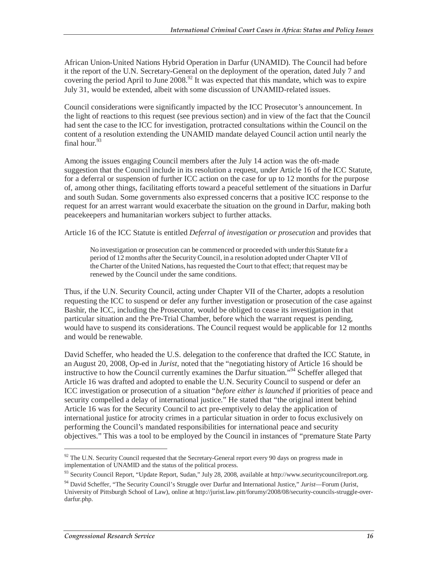African Union-United Nations Hybrid Operation in Darfur (UNAMID). The Council had before it the report of the U.N. Secretary-General on the deployment of the operation, dated July 7 and covering the period April to June  $2008<sup>92</sup>$  It was expected that this mandate, which was to expire July 31, would be extended, albeit with some discussion of UNAMID-related issues.

Council considerations were significantly impacted by the ICC Prosecutor's announcement. In the light of reactions to this request (see previous section) and in view of the fact that the Council had sent the case to the ICC for investigation, protracted consultations within the Council on the content of a resolution extending the UNAMID mandate delayed Council action until nearly the final hour.  $93$ 

Among the issues engaging Council members after the July 14 action was the oft-made suggestion that the Council include in its resolution a request, under Article 16 of the ICC Statute, for a deferral or suspension of further ICC action on the case for up to 12 months for the purpose of, among other things, facilitating efforts toward a peaceful settlement of the situations in Darfur and south Sudan. Some governments also expressed concerns that a positive ICC response to the request for an arrest warrant would exacerbate the situation on the ground in Darfur, making both peacekeepers and humanitarian workers subject to further attacks.

Article 16 of the ICC Statute is entitled *Deferral of investigation or prosecution* and provides that

No investigation or prosecution can be commenced or proceeded with under this Statute for a period of 12 months after the Security Council, in a resolution adopted under Chapter VII of the Charter of the United Nations, has requested the Court to that effect; that request may be renewed by the Council under the same conditions.

Thus, if the U.N. Security Council, acting under Chapter VII of the Charter, adopts a resolution requesting the ICC to suspend or defer any further investigation or prosecution of the case against Bashir, the ICC, including the Prosecutor, would be obliged to cease its investigation in that particular situation and the Pre-Trial Chamber, before which the warrant request is pending, would have to suspend its considerations. The Council request would be applicable for 12 months and would be renewable.

David Scheffer, who headed the U.S. delegation to the conference that drafted the ICC Statute, in an August 20, 2008, Op-ed in *Jurist*, noted that the "negotiating history of Article 16 should be instructive to how the Council currently examines the Darfur situation."94 Scheffer alleged that Article 16 was drafted and adopted to enable the U.N. Security Council to suspend or defer an ICC investigation or prosecution of a situation "*before either is launched* if priorities of peace and security compelled a delay of international justice." He stated that "the original intent behind Article 16 was for the Security Council to act pre-emptively to delay the application of international justice for atrocity crimes in a particular situation in order to focus exclusively on performing the Council's mandated responsibilities for international peace and security objectives." This was a tool to be employed by the Council in instances of "premature State Party

 $92$  The U.N. Security Council requested that the Secretary-General report every 90 days on progress made in implementation of UNAMID and the status of the political process.

<sup>93</sup> Security Council Report, "Update Report, Sudan," July 28, 2008, available at http://www.securitycouncilreport.org.

<sup>94</sup> David Scheffer, "The Security Council's Struggle over Darfur and International Justice," *Jurist*—Forum (Jurist, University of Pittsburgh School of Law), online at http://jurist.law.pitt/forumy/2008/08/security-councils-struggle-overdarfur.php.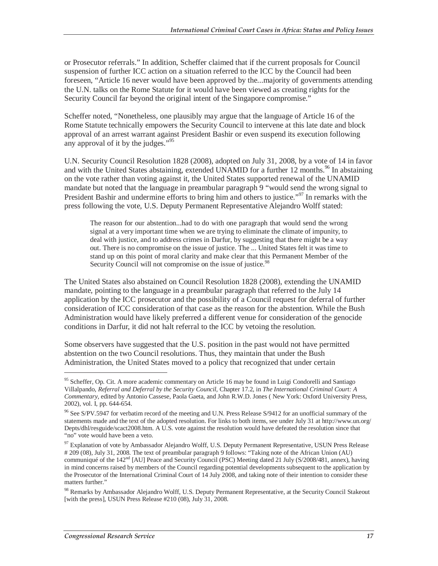or Prosecutor referrals." In addition, Scheffer claimed that if the current proposals for Council suspension of further ICC action on a situation referred to the ICC by the Council had been foreseen, "Article 16 never would have been approved by the...majority of governments attending the U.N. talks on the Rome Statute for it would have been viewed as creating rights for the Security Council far beyond the original intent of the Singapore compromise."

Scheffer noted, "Nonetheless, one plausibly may argue that the language of Article 16 of the Rome Statute technically empowers the Security Council to intervene at this late date and block approval of an arrest warrant against President Bashir or even suspend its execution following any approval of it by the judges."<sup>95</sup>

U.N. Security Council Resolution 1828 (2008), adopted on July 31, 2008, by a vote of 14 in favor and with the United States abstaining, extended UNAMID for a further 12 months.<sup>96</sup> In abstaining on the vote rather than voting against it, the United States supported renewal of the UNAMID mandate but noted that the language in preambular paragraph 9 "would send the wrong signal to President Bashir and undermine efforts to bring him and others to justice."<sup>97</sup> In remarks with the press following the vote, U.S. Deputy Permanent Representative Alejandro Wolff stated:

The reason for our abstention...had to do with one paragraph that would send the wrong signal at a very important time when we are trying to eliminate the climate of impunity, to deal with justice, and to address crimes in Darfur, by suggesting that there might be a way out. There is no compromise on the issue of justice. The ... United States felt it was time to stand up on this point of moral clarity and make clear that this Permanent Member of the Security Council will not compromise on the issue of justice.<sup>98</sup>

The United States also abstained on Council Resolution 1828 (2008), extending the UNAMID mandate, pointing to the language in a preambular paragraph that referred to the July 14 application by the ICC prosecutor and the possibility of a Council request for deferral of further consideration of ICC consideration of that case as the reason for the abstention. While the Bush Administration would have likely preferred a different venue for consideration of the genocide conditions in Darfur, it did not halt referral to the ICC by vetoing the resolution.

Some observers have suggested that the U.S. position in the past would not have permitted abstention on the two Council resolutions. Thus, they maintain that under the Bush Administration, the United States moved to a policy that recognized that under certain

<u>.</u>

<sup>&</sup>lt;sup>95</sup> Scheffer, Op. Cit. A more academic commentary on Article 16 may be found in Luigi Condorelli and Santiago Villalpando, *Referral and Deferral by the Security Council,* Chapter 17.2, in *The International Criminal Court: A Commentary*, edited by Antonio Cassese, Paola Gaeta, and John R.W.D. Jones ( New York: Oxford University Press, 2002), vol. I, pp. 644-654.

<sup>&</sup>lt;sup>96</sup> See S/PV.5947 for verbatim record of the meeting and U.N. Press Release S/9412 for an unofficial summary of the statements made and the text of the adopted resolution. For links to both items, see under July 31 at http://www.un.org/ Depts/dhl/resguide/scact2008.htm. A U.S. vote against the resolution would have defeated the resolution since that "no" vote would have been a veto.

<sup>&</sup>lt;sup>97</sup> Explanation of vote by Ambassador Alejandro Wolff, U.S. Deputy Permanent Representative, USUN Press Release # 209 (08), July 31, 2008. The text of preambular paragraph 9 follows: "Taking note of the African Union (AU) communiqué of the 142<sup>nd</sup> [AU] Peace and Security Council (PSC) Meeting dated 21 July (S/2008/481, annex), having in mind concerns raised by members of the Council regarding potential developments subsequent to the application by the Prosecutor of the International Criminal Court of 14 July 2008, and taking note of their intention to consider these matters further."

<sup>&</sup>lt;sup>98</sup> Remarks by Ambassador Alejandro Wolff, U.S. Deputy Permanent Representative, at the Security Council Stakeout [with the press], USUN Press Release #210 (08), July 31, 2008.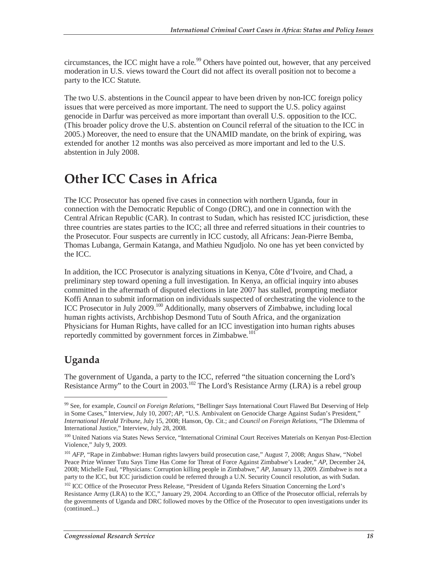circumstances, the ICC might have a role.<sup>99</sup> Others have pointed out, however, that any perceived moderation in U.S. views toward the Court did not affect its overall position not to become a party to the ICC Statute.

The two U.S. abstentions in the Council appear to have been driven by non-ICC foreign policy issues that were perceived as more important. The need to support the U.S. policy against genocide in Darfur was perceived as more important than overall U.S. opposition to the ICC. (This broader policy drove the U.S. abstention on Council referral of the situation to the ICC in 2005.) Moreover, the need to ensure that the UNAMID mandate, on the brink of expiring, was extended for another 12 months was also perceived as more important and led to the U.S. abstention in July 2008.

## **Other ICC Cases in Africa**

The ICC Prosecutor has opened five cases in connection with northern Uganda, four in connection with the Democratic Republic of Congo (DRC), and one in connection with the Central African Republic (CAR). In contrast to Sudan, which has resisted ICC jurisdiction, these three countries are states parties to the ICC; all three and referred situations in their countries to the Prosecutor. Four suspects are currently in ICC custody, all Africans: Jean-Pierre Bemba, Thomas Lubanga, Germain Katanga, and Mathieu Ngudjolo. No one has yet been convicted by the ICC.

In addition, the ICC Prosecutor is analyzing situations in Kenya, Côte d'Ivoire, and Chad, a preliminary step toward opening a full investigation. In Kenya, an official inquiry into abuses committed in the aftermath of disputed elections in late 2007 has stalled, prompting mediator Koffi Annan to submit information on individuals suspected of orchestrating the violence to the ICC Prosecutor in July 2009.100 Additionally, many observers of Zimbabwe, including local human rights activists, Archbishop Desmond Tutu of South Africa, and the organization Physicians for Human Rights, have called for an ICC investigation into human rights abuses reportedly committed by government forces in Zimbabwe.<sup>101</sup>

### **Uganda**

<u>.</u>

The government of Uganda, a party to the ICC, referred "the situation concerning the Lord's Resistance Army" to the Court in 2003.<sup>102</sup> The Lord's Resistance Army (LRA) is a rebel group

<sup>99</sup> See, for example, *Council on Foreign Relations*, "Bellinger Says International Court Flawed But Deserving of Help in Some Cases," Interview, July 10, 2007; *AP*, "U.S. Ambivalent on Genocide Charge Against Sudan's President," *International Herald Tribune*, July 15, 2008; Hanson, Op. Cit.; and *Council on Foreign Relations*, "The Dilemma of International Justice," Interview, July 28, 2008.

<sup>&</sup>lt;sup>100</sup> United Nations via States News Service, "International Criminal Court Receives Materials on Kenyan Post-Election Violence," July 9, 2009.

<sup>&</sup>lt;sup>101</sup> *AFP*, "Rape in Zimbabwe: Human rights lawyers build prosecution case," August 7, 2008; Angus Shaw, "Nobel Peace Prize Winner Tutu Says Time Has Come for Threat of Force Against Zimbabwe's Leader," *AP*, December 24, 2008; Michelle Faul, "Physicians: Corruption killing people in Zimbabwe," *AP*, January 13, 2009. Zimbabwe is not a party to the ICC, but ICC jurisdiction could be referred through a U.N. Security Council resolution, as with Sudan.

<sup>&</sup>lt;sup>102</sup> ICC Office of the Prosecutor Press Release, "President of Uganda Refers Situation Concerning the Lord's Resistance Army (LRA) to the ICC," January 29, 2004. According to an Office of the Prosecutor official, referrals by the governments of Uganda and DRC followed moves by the Office of the Prosecutor to open investigations under its (continued...)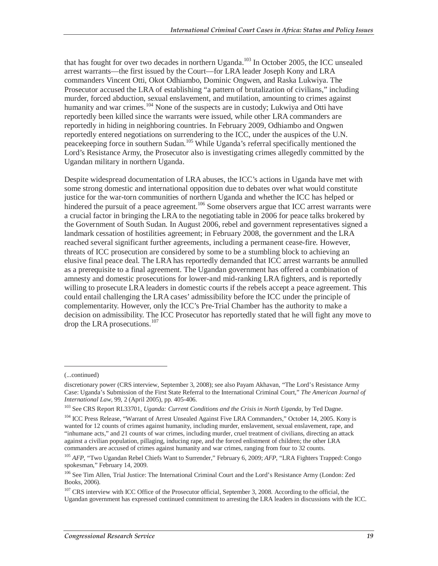that has fought for over two decades in northern Uganda.<sup>103</sup> In October 2005, the ICC unsealed arrest warrants—the first issued by the Court—for LRA leader Joseph Kony and LRA commanders Vincent Otti, Okot Odhiambo, Dominic Ongwen, and Raska Lukwiya. The Prosecutor accused the LRA of establishing "a pattern of brutalization of civilians," including murder, forced abduction, sexual enslavement, and mutilation, amounting to crimes against humanity and war crimes.<sup>104</sup> None of the suspects are in custody; Lukwiya and Otti have reportedly been killed since the warrants were issued, while other LRA commanders are reportedly in hiding in neighboring countries. In February 2009, Odhiambo and Ongwen reportedly entered negotiations on surrendering to the ICC, under the auspices of the U.N. peacekeeping force in southern Sudan.<sup>105</sup> While Uganda's referral specifically mentioned the Lord's Resistance Army, the Prosecutor also is investigating crimes allegedly committed by the Ugandan military in northern Uganda.

Despite widespread documentation of LRA abuses, the ICC's actions in Uganda have met with some strong domestic and international opposition due to debates over what would constitute justice for the war-torn communities of northern Uganda and whether the ICC has helped or hindered the pursuit of a peace agreement.<sup>106</sup> Some observers argue that ICC arrest warrants were a crucial factor in bringing the LRA to the negotiating table in 2006 for peace talks brokered by the Government of South Sudan. In August 2006, rebel and government representatives signed a landmark cessation of hostilities agreement; in February 2008, the government and the LRA reached several significant further agreements, including a permanent cease-fire. However, threats of ICC prosecution are considered by some to be a stumbling block to achieving an elusive final peace deal. The LRA has reportedly demanded that ICC arrest warrants be annulled as a prerequisite to a final agreement. The Ugandan government has offered a combination of amnesty and domestic prosecutions for lower-and mid-ranking LRA fighters, and is reportedly willing to prosecute LRA leaders in domestic courts if the rebels accept a peace agreement. This could entail challenging the LRA cases' admissibility before the ICC under the principle of complementarity. However, only the ICC's Pre-Trial Chamber has the authority to make a decision on admissibility. The ICC Prosecutor has reportedly stated that he will fight any move to drop the LRA prosecutions.<sup>107</sup>

<sup>(...</sup>continued)

discretionary power (CRS interview, September 3, 2008); see also Payam Akhavan, "The Lord's Resistance Army Case: Uganda's Submission of the First State Referral to the International Criminal Court," *The American Journal of* 

*International Law*, 99, 2 (April 2005), pp. 405-406.<br><sup>103</sup> See CRS Report RL33701, *Uganda: Current Conditions and the Crisis in North Uganda*, by Ted Dagne.

<sup>&</sup>lt;sup>104</sup> ICC Press Release, "Warrant of Arrest Unsealed Against Five LRA Commanders," October 14, 2005. Kony is wanted for 12 counts of crimes against humanity, including murder, enslavement, sexual enslavement, rape, and "inhumane acts," and 21 counts of war crimes, including murder, cruel treatment of civilians, directing an attack against a civilian population, pillaging, inducing rape, and the forced enlistment of children; the other LRA commanders are accused of crimes against humanity and war crimes, ranging from four to 32 counts.

<sup>&</sup>lt;sup>105</sup> *AFP*, "Two Ugandan Rebel Chiefs Want to Surrender," February 6, 2009; *AFP*, "LRA Fighters Trapped: Congo spokesman," February 14, 2009.

<sup>106</sup> See Tim Allen, Trial Justice: The International Criminal Court and the Lord's Resistance Army (London: Zed Books, 2006).

<sup>&</sup>lt;sup>107</sup> CRS interview with ICC Office of the Prosecutor official, September 3, 2008. According to the official, the Ugandan government has expressed continued commitment to arresting the LRA leaders in discussions with the ICC.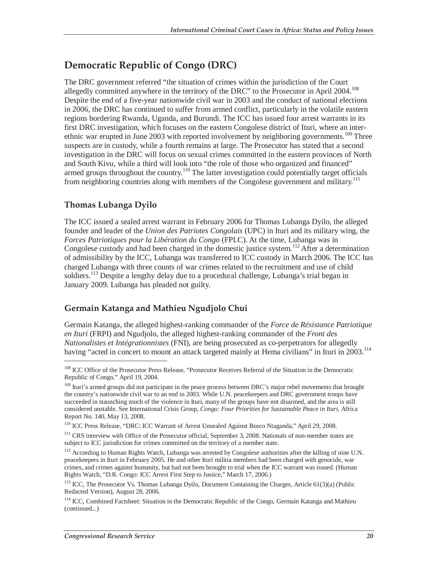## **Democratic Republic of Congo (DRC)**

The DRC government referred "the situation of crimes within the jurisdiction of the Court allegedly committed anywhere in the territory of the DRC" to the Prosecutor in April 2004.<sup>108</sup> Despite the end of a five-year nationwide civil war in 2003 and the conduct of national elections in 2006, the DRC has continued to suffer from armed conflict, particularly in the volatile eastern regions bordering Rwanda, Uganda, and Burundi. The ICC has issued four arrest warrants in its first DRC investigation, which focuses on the eastern Congolese district of Ituri, where an interethnic war erupted in June 2003 with reported involvement by neighboring governments.<sup>109</sup> Three suspects are in custody, while a fourth remains at large. The Prosecutor has stated that a second investigation in the DRC will focus on sexual crimes committed in the eastern provinces of North and South Kivu, while a third will look into "the role of those who organized and financed" armed groups throughout the country.<sup>110</sup> The latter investigation could potentially target officials from neighboring countries along with members of the Congolese government and military.<sup>111</sup>

#### **Thomas Lubanga Dyilo**

-

The ICC issued a sealed arrest warrant in February 2006 for Thomas Lubanga Dyilo, the alleged founder and leader of the *Union des Patriotes Congolais* (UPC) in Ituri and its military wing, the *Forces Patriotiques pour la Libération du Congo* (FPLC). At the time, Lubanga was in Congolese custody and had been charged in the domestic justice system.<sup>112</sup> After a determination of admissibility by the ICC, Lubanga was transferred to ICC custody in March 2006. The ICC has charged Lubanga with three counts of war crimes related to the recruitment and use of child soldiers.<sup>113</sup> Despite a lengthy delay due to a procedural challenge, Lubanga's trial began in January 2009. Lubanga has pleaded not guilty.

#### **Germain Katanga and Mathieu Ngudjolo Chui**

Germain Katanga, the alleged highest-ranking commander of the *Force de Résistance Patriotique en Ituri* (FRPI) and Ngudjolo, the alleged highest-ranking commander of the *Front des Nationalistes et Intégrationnistes* (FNI), are being prosecuted as co-perpetrators for allegedly having "acted in concert to mount an attack targeted mainly at Hema civilians" in Ituri in 2003.<sup>114</sup>

<sup>&</sup>lt;sup>108</sup> ICC Office of the Prosecutor Press Release, "Prosecutor Receives Referral of the Situation in the Democratic Republic of Congo," April 19, 2004.

<sup>&</sup>lt;sup>109</sup> Ituri's armed groups did not participate in the peace process between DRC's major rebel movements that brought the country's nationwide civil war to an end in 2003. While U.N. peacekeepers and DRC government troops have succeeded in staunching much of the violence in Ituri, many of the groups have not disarmed, and the area is still considered unstable. See International Crisis Group, *Congo: Four Priorities for Sustainable Peace in Ituri*, Africa Report No. 140, May 13, 2008.

<sup>110</sup> ICC Press Release, "DRC: ICC Warrant of Arrest Unsealed Against Bosco Ntaganda," April 29, 2008.

<sup>&</sup>lt;sup>111</sup> CRS interview with Office of the Prosecutor official, September 3, 2008. Nationals of non-member states are subject to ICC jurisdiction for crimes committed on the territory of a member state.

<sup>&</sup>lt;sup>112</sup> According to Human Rights Watch, Lubanga was arrested by Congolese authorities after the killing of nine U.N. peacekeepers in Ituri in February 2005. He and other Ituri militia members had been charged with genocide, war crimes, and crimes against humanity, but had not been brought to trial when the ICC warrant was issued. (Human Rights Watch, "D.R. Congo: ICC Arrest First Step to Justice," March 17, 2006.)

<sup>&</sup>lt;sup>113</sup> ICC, The Prosecutor Vs. Thomas Lubanga Dyilo, Document Containing the Charges, Article 61(3)(a) (Public Redacted Version), August 28, 2006.

<sup>&</sup>lt;sup>114</sup> ICC, Combined Factsheet: Situation in the Democratic Republic of the Congo, Germain Katanga and Mathieu (continued...)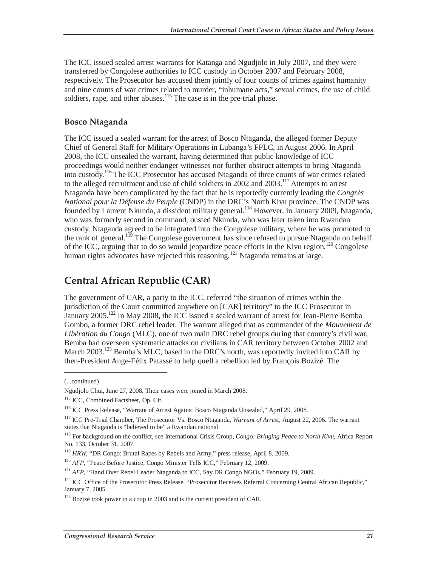The ICC issued sealed arrest warrants for Katanga and Ngudjolo in July 2007, and they were transferred by Congolese authorities to ICC custody in October 2007 and February 2008, respectively. The Prosecutor has accused them jointly of four counts of crimes against humanity and nine counts of war crimes related to murder, "inhumane acts," sexual crimes, the use of child soldiers, rape, and other abuses.<sup>115</sup> The case is in the pre-trial phase.

#### **Bosco Ntaganda**

The ICC issued a sealed warrant for the arrest of Bosco Ntaganda, the alleged former Deputy Chief of General Staff for Military Operations in Lubanga's FPLC, in August 2006. In April 2008, the ICC unsealed the warrant, having determined that public knowledge of ICC proceedings would neither endanger witnesses nor further obstruct attempts to bring Ntaganda into custody.<sup>116</sup> The ICC Prosecutor has accused Ntaganda of three counts of war crimes related to the alleged recruitment and use of child soldiers in 2002 and 2003.117 Attempts to arrest Ntaganda have been complicated by the fact that he is reportedly currently leading the *Congrès National pour la Défense du Peuple* (CNDP) in the DRC's North Kivu province. The CNDP was founded by Laurent Nkunda, a dissident military general.<sup>118</sup> However, in January 2009, Ntaganda, who was formerly second in command, ousted Nkunda, who was later taken into Rwandan custody. Ntaganda agreed to be integrated into the Congolese military, where he was promoted to the rank of general.<sup>119</sup> The Congolese government has since refused to pursue Ntaganda on behalf of the ICC, arguing that to do so would jeopardize peace efforts in the Kivu region.<sup>120</sup> Congolese human rights advocates have rejected this reasoning.<sup>121</sup> Ntaganda remains at large.

### **Central African Republic (CAR)**

The government of CAR, a party to the ICC, referred "the situation of crimes within the jurisdiction of the Court committed anywhere on [CAR] territory" to the ICC Prosecutor in January 2005.<sup>122</sup> In May 2008, the ICC issued a sealed warrant of arrest for Jean-Pierre Bemba Gombo, a former DRC rebel leader. The warrant alleged that as commander of the *Mouvement de Libération du Congo* (MLC), one of two main DRC rebel groups during that country's civil war, Bemba had overseen systematic attacks on civilians in CAR territory between October 2002 and March  $2003$ <sup>123</sup> Bemba's MLC, based in the DRC's north, was reportedly invited into CAR by then-President Ange-Félix Patassé to help quell a rebellion led by François Bozizé. The

<sup>(...</sup>continued)

Ngudjolo Chui, June 27, 2008. Their cases were joined in March 2008.

<sup>&</sup>lt;sup>115</sup> ICC, Combined Factsheet, Op. Cit.

<sup>116</sup> ICC Press Release, "Warrant of Arrest Against Bosco Ntaganda Unsealed," April 29, 2008.

<sup>117</sup> ICC Pre-Trial Chamber, The Prosecutor Vs. Bosco Ntaganda, *Warrant of Arrest*, August 22, 2006. The warrant states that Ntaganda is "believed to be" a Rwandan national.

<sup>118</sup> For background on the conflict, see International Crisis Group, *Congo: Bringing Peace to North Kivu*, Africa Report No. 133, October 31, 2007.

<sup>&</sup>lt;sup>119</sup> HRW, "DR Congo: Brutal Rapes by Rebels and Army," press release, April 8, 2009.

<sup>&</sup>lt;sup>120</sup> *AFP*, "Peace Before Justice, Congo Minister Tells ICC," February 12, 2009.

<sup>&</sup>lt;sup>121</sup> *AFP*, "Hand Over Rebel Leader Ntaganda to ICC, Say DR Congo NGOs," February 19, 2009.

<sup>&</sup>lt;sup>122</sup> ICC Office of the Prosecutor Press Release, "Prosecutor Receives Referral Concerning Central African Republic," January 7, 2005.

<sup>&</sup>lt;sup>123</sup> Bozizé took power in a coup in 2003 and is the current president of CAR.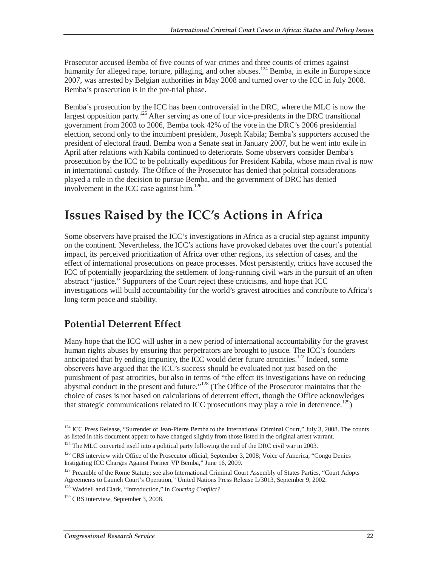Prosecutor accused Bemba of five counts of war crimes and three counts of crimes against humanity for alleged rape, torture, pillaging, and other abuses.<sup>124</sup> Bemba, in exile in Europe since 2007, was arrested by Belgian authorities in May 2008 and turned over to the ICC in July 2008. Bemba's prosecution is in the pre-trial phase.

Bemba's prosecution by the ICC has been controversial in the DRC, where the MLC is now the largest opposition party.<sup>125</sup> After serving as one of four vice-presidents in the DRC transitional government from 2003 to 2006, Bemba took 42% of the vote in the DRC's 2006 presidential election, second only to the incumbent president, Joseph Kabila; Bemba's supporters accused the president of electoral fraud. Bemba won a Senate seat in January 2007, but he went into exile in April after relations with Kabila continued to deteriorate. Some observers consider Bemba's prosecution by the ICC to be politically expeditious for President Kabila, whose main rival is now in international custody. The Office of the Prosecutor has denied that political considerations played a role in the decision to pursue Bemba, and the government of DRC has denied involvement in the ICC case against him.<sup>126</sup>

## **Issues Raised by the ICC's Actions in Africa**

Some observers have praised the ICC's investigations in Africa as a crucial step against impunity on the continent. Nevertheless, the ICC's actions have provoked debates over the court's potential impact, its perceived prioritization of Africa over other regions, its selection of cases, and the effect of international prosecutions on peace processes. Most persistently, critics have accused the ICC of potentially jeopardizing the settlement of long-running civil wars in the pursuit of an often abstract "justice." Supporters of the Court reject these criticisms, and hope that ICC investigations will build accountability for the world's gravest atrocities and contribute to Africa's long-term peace and stability.

### **Potential Deterrent Effect**

Many hope that the ICC will usher in a new period of international accountability for the gravest human rights abuses by ensuring that perpetrators are brought to justice. The ICC's founders anticipated that by ending impunity, the ICC would deter future atrocities.<sup>127</sup> Indeed, some observers have argued that the ICC's success should be evaluated not just based on the punishment of past atrocities, but also in terms of "the effect its investigations have on reducing abysmal conduct in the present and future."<sup>128</sup> (The Office of the Prosecutor maintains that the choice of cases is not based on calculations of deterrent effect, though the Office acknowledges that strategic communications related to ICC prosecutions may play a role in deterrence.<sup>129</sup>)

<sup>&</sup>lt;sup>124</sup> ICC Press Release, "Surrender of Jean-Pierre Bemba to the International Criminal Court," July 3, 2008. The counts as listed in this document appear to have changed slightly from those listed in the original arrest warrant.

<sup>&</sup>lt;sup>125</sup> The MLC converted itself into a political party following the end of the DRC civil war in 2003.

<sup>&</sup>lt;sup>126</sup> CRS interview with Office of the Prosecutor official, September 3, 2008; Voice of America, "Congo Denies" Instigating ICC Charges Against Former VP Bemba," June 16, 2009.

<sup>&</sup>lt;sup>127</sup> Preamble of the Rome Statute; see also International Criminal Court Assembly of States Parties, "Court Adopts Agreements to Launch Court's Operation," United Nations Press Release L/3013, September 9, 2002.

<sup>128</sup> Waddell and Clark, "Introduction," in *Courting Conflict?*

<sup>&</sup>lt;sup>129</sup> CRS interview, September 3, 2008.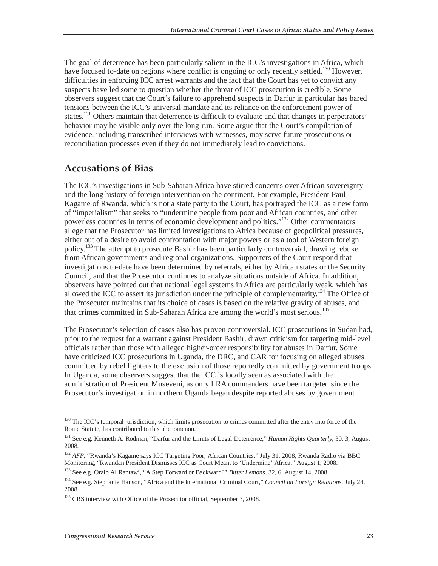The goal of deterrence has been particularly salient in the ICC's investigations in Africa, which have focused to-date on regions where conflict is ongoing or only recently settled.<sup>130</sup> However, difficulties in enforcing ICC arrest warrants and the fact that the Court has yet to convict any suspects have led some to question whether the threat of ICC prosecution is credible. Some observers suggest that the Court's failure to apprehend suspects in Darfur in particular has bared tensions between the ICC's universal mandate and its reliance on the enforcement power of states.<sup>131</sup> Others maintain that deterrence is difficult to evaluate and that changes in perpetrators' behavior may be visible only over the long-run. Some argue that the Court's compilation of evidence, including transcribed interviews with witnesses, may serve future prosecutions or reconciliation processes even if they do not immediately lead to convictions.

### **Accusations of Bias**

The ICC's investigations in Sub-Saharan Africa have stirred concerns over African sovereignty and the long history of foreign intervention on the continent. For example, President Paul Kagame of Rwanda, which is not a state party to the Court, has portrayed the ICC as a new form of "imperialism" that seeks to "undermine people from poor and African countries, and other powerless countries in terms of economic development and politics."132 Other commentators allege that the Prosecutor has limited investigations to Africa because of geopolitical pressures, either out of a desire to avoid confrontation with major powers or as a tool of Western foreign policy.133 The attempt to prosecute Bashir has been particularly controversial, drawing rebuke from African governments and regional organizations. Supporters of the Court respond that investigations to-date have been determined by referrals, either by African states or the Security Council, and that the Prosecutor continues to analyze situations outside of Africa. In addition, observers have pointed out that national legal systems in Africa are particularly weak, which has allowed the ICC to assert its jurisdiction under the principle of complementarity.<sup>134</sup> The Office of the Prosecutor maintains that its choice of cases is based on the relative gravity of abuses, and that crimes committed in Sub-Saharan Africa are among the world's most serious.<sup>135</sup>

The Prosecutor's selection of cases also has proven controversial. ICC prosecutions in Sudan had, prior to the request for a warrant against President Bashir, drawn criticism for targeting mid-level officials rather than those with alleged higher-order responsibility for abuses in Darfur. Some have criticized ICC prosecutions in Uganda, the DRC, and CAR for focusing on alleged abuses committed by rebel fighters to the exclusion of those reportedly committed by government troops. In Uganda, some observers suggest that the ICC is locally seen as associated with the administration of President Museveni, as only LRA commanders have been targeted since the Prosecutor's investigation in northern Uganda began despite reported abuses by government

<sup>&</sup>lt;sup>130</sup> The ICC's temporal jurisdiction, which limits prosecution to crimes committed after the entry into force of the Rome Statute, has contributed to this phenomenon.

<sup>131</sup> See e.g. Kenneth A. Rodman, "Darfur and the Limits of Legal Deterrence," *Human Rights Quarterly*, 30, 3, August 2008.

<sup>&</sup>lt;sup>132</sup> *AFP*, "Rwanda's Kagame says ICC Targeting Poor, African Countries," July 31, 2008; Rwanda Radio via BBC Monitoring, "Rwandan President Dismisses ICC as Court Meant to 'Undermine' Africa," August 1, 2008.

<sup>133</sup> See e.g. Oraib Al Rantawi, "A Step Forward or Backward?" *Bitter Lemons*, 32, 6, August 14, 2008.

<sup>134</sup> See e.g. Stephanie Hanson, "Africa and the International Criminal Court," *Council on Foreign Relations*, July 24, 2008.

<sup>&</sup>lt;sup>135</sup> CRS interview with Office of the Prosecutor official, September 3, 2008.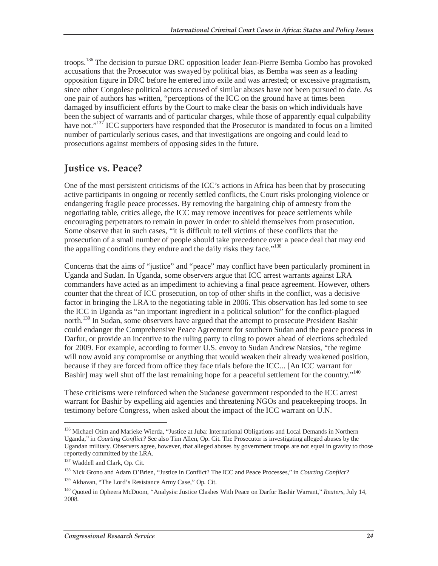troops.<sup>136</sup> The decision to pursue DRC opposition leader Jean-Pierre Bemba Gombo has provoked accusations that the Prosecutor was swayed by political bias, as Bemba was seen as a leading opposition figure in DRC before he entered into exile and was arrested; or excessive pragmatism, since other Congolese political actors accused of similar abuses have not been pursued to date. As one pair of authors has written, "perceptions of the ICC on the ground have at times been damaged by insufficient efforts by the Court to make clear the basis on which individuals have been the subject of warrants and of particular charges, while those of apparently equal culpability have not."<sup>137</sup> ICC supporters have responded that the Prosecutor is mandated to focus on a limited number of particularly serious cases, and that investigations are ongoing and could lead to prosecutions against members of opposing sides in the future.

## **Justice vs. Peace?**

One of the most persistent criticisms of the ICC's actions in Africa has been that by prosecuting active participants in ongoing or recently settled conflicts, the Court risks prolonging violence or endangering fragile peace processes. By removing the bargaining chip of amnesty from the negotiating table, critics allege, the ICC may remove incentives for peace settlements while encouraging perpetrators to remain in power in order to shield themselves from prosecution. Some observe that in such cases, "it is difficult to tell victims of these conflicts that the prosecution of a small number of people should take precedence over a peace deal that may end the appalling conditions they endure and the daily risks they face."<sup>138</sup>

Concerns that the aims of "justice" and "peace" may conflict have been particularly prominent in Uganda and Sudan. In Uganda, some observers argue that ICC arrest warrants against LRA commanders have acted as an impediment to achieving a final peace agreement. However, others counter that the threat of ICC prosecution, on top of other shifts in the conflict, was a decisive factor in bringing the LRA to the negotiating table in 2006. This observation has led some to see the ICC in Uganda as "an important ingredient in a political solution" for the conflict-plagued north.<sup>139</sup> In Sudan, some observers have argued that the attempt to prosecute President Bashir could endanger the Comprehensive Peace Agreement for southern Sudan and the peace process in Darfur, or provide an incentive to the ruling party to cling to power ahead of elections scheduled for 2009. For example, according to former U.S. envoy to Sudan Andrew Natsios, "the regime will now avoid any compromise or anything that would weaken their already weakened position, because if they are forced from office they face trials before the ICC... [An ICC warrant for Bashir] may well shut off the last remaining hope for a peaceful settlement for the country."<sup>140</sup>

These criticisms were reinforced when the Sudanese government responded to the ICC arrest warrant for Bashir by expelling aid agencies and threatening NGOs and peacekeeping troops. In testimony before Congress, when asked about the impact of the ICC warrant on U.N.

<u>.</u>

<sup>&</sup>lt;sup>136</sup> Michael Otim and Marieke Wierda, "Justice at Juba: International Obligations and Local Demands in Northern Uganda," in *Courting Conflict?* See also Tim Allen, Op. Cit. The Prosecutor is investigating alleged abuses by the Ugandan military. Observers agree, however, that alleged abuses by government troops are not equal in gravity to those reportedly committed by the LRA.

<sup>137</sup> Waddell and Clark, Op. Cit.

<sup>138</sup> Nick Grono and Adam O'Brien, "Justice in Conflict? The ICC and Peace Processes," in *Courting Conflict?*

<sup>&</sup>lt;sup>139</sup> Akhavan, "The Lord's Resistance Army Case," Op. Cit.

<sup>140</sup> Quoted in Opheera McDoom, "Analysis: Justice Clashes With Peace on Darfur Bashir Warrant," *Reuters*, July 14, 2008.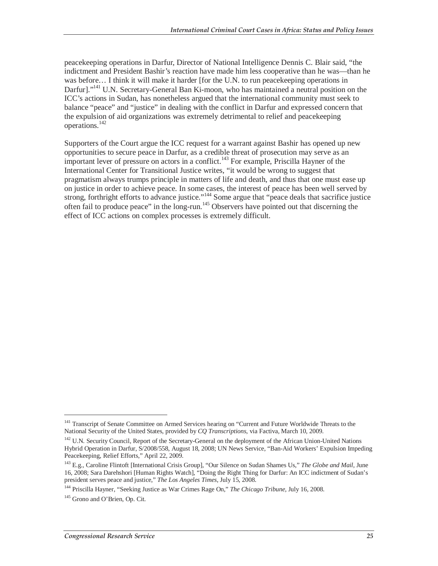peacekeeping operations in Darfur, Director of National Intelligence Dennis C. Blair said, "the indictment and President Bashir's reaction have made him less cooperative than he was—than he was before… I think it will make it harder [for the U.N. to run peacekeeping operations in Darfur]."<sup>141</sup> U.N. Secretary-General Ban Ki-moon, who has maintained a neutral position on the ICC's actions in Sudan, has nonetheless argued that the international community must seek to balance "peace" and "justice" in dealing with the conflict in Darfur and expressed concern that the expulsion of aid organizations was extremely detrimental to relief and peacekeeping operations.<sup>142</sup>

Supporters of the Court argue the ICC request for a warrant against Bashir has opened up new opportunities to secure peace in Darfur, as a credible threat of prosecution may serve as an important lever of pressure on actors in a conflict.<sup>143</sup> For example, Priscilla Hayner of the International Center for Transitional Justice writes, "it would be wrong to suggest that pragmatism always trumps principle in matters of life and death, and thus that one must ease up on justice in order to achieve peace. In some cases, the interest of peace has been well served by strong, forthright efforts to advance justice."144 Some argue that "peace deals that sacrifice justice often fail to produce peace" in the long-run.145 Observers have pointed out that discerning the effect of ICC actions on complex processes is extremely difficult.

<sup>&</sup>lt;sup>141</sup> Transcript of Senate Committee on Armed Services hearing on "Current and Future Worldwide Threats to the National Security of the United States, provided by *CQ Transcriptions*, via Factiva, March 10, 2009.

<sup>&</sup>lt;sup>142</sup> U.N. Security Council, Report of the Secretary-General on the deployment of the African Union-United Nations Hybrid Operation in Darfur, S/2008/558, August 18, 2008; UN News Service, "Ban-Aid Workers' Expulsion Impeding Peacekeeping, Relief Efforts," April 22, 2009.

<sup>143</sup> E.g., Caroline Flintoft [International Crisis Group], "Our Silence on Sudan Shames Us," *The Globe and Mail*, June 16, 2008; Sara Darehshori [Human Rights Watch], "Doing the Right Thing for Darfur: An ICC indictment of Sudan's president serves peace and justice," The Los Angeles Times, July 15, 2008.

president serves peace and justice," *The Los Angeles Times*, July 15, 2008. 144 Priscilla Hayner, "Seeking Justice as War Crimes Rage On," *The Chicago Tribune*, July 16, 2008.

<sup>&</sup>lt;sup>145</sup> Grono and O'Brien, Op. Cit.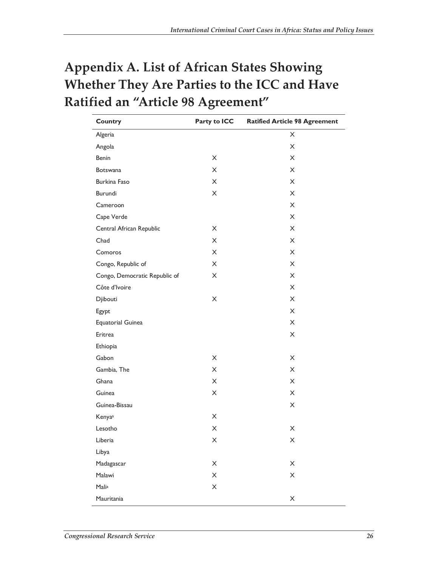## **Appendix A. List of African States Showing Whether They Are Parties to the ICC and Have Ratified an "Article 98 Agreement"**

| <b>Country</b>                | Party to ICC              | <b>Ratified Article 98 Agreement</b> |
|-------------------------------|---------------------------|--------------------------------------|
| Algeria                       |                           | X                                    |
| Angola                        |                           | X                                    |
| Benin                         | X                         | X                                    |
| <b>Botswana</b>               | X                         | X                                    |
| Burkina Faso                  | X                         | X                                    |
| Burundi                       | X                         | X                                    |
| Cameroon                      |                           | X                                    |
| Cape Verde                    |                           | X                                    |
| Central African Republic      | X                         | X                                    |
| Chad                          | X                         | X                                    |
| Comoros                       | X                         | X                                    |
| Congo, Republic of            | X                         | X                                    |
| Congo, Democratic Republic of | X                         | X                                    |
| Côte d'Ivoire                 |                           | X                                    |
| Djibouti                      | X                         | X                                    |
| Egypt                         |                           | X                                    |
| <b>Equatorial Guinea</b>      |                           | X                                    |
| Eritrea                       |                           | X                                    |
| Ethiopia                      |                           |                                      |
| Gabon                         | X                         | X                                    |
| Gambia, The                   | $\mathsf X$               | X                                    |
| Ghana                         | X                         | X                                    |
| Guinea                        | X                         | X                                    |
| Guinea-Bissau                 |                           | X                                    |
| Kenyaa                        | X                         |                                      |
| Lesotho                       | X                         | X                                    |
| Liberia                       | Χ                         | X                                    |
| Libya                         |                           |                                      |
| Madagascar                    | X                         | $\boldsymbol{\times}$                |
| Malawi                        | $\boldsymbol{\mathsf{X}}$ | X                                    |
| Malia                         | X                         |                                      |
| Mauritania                    |                           | X                                    |